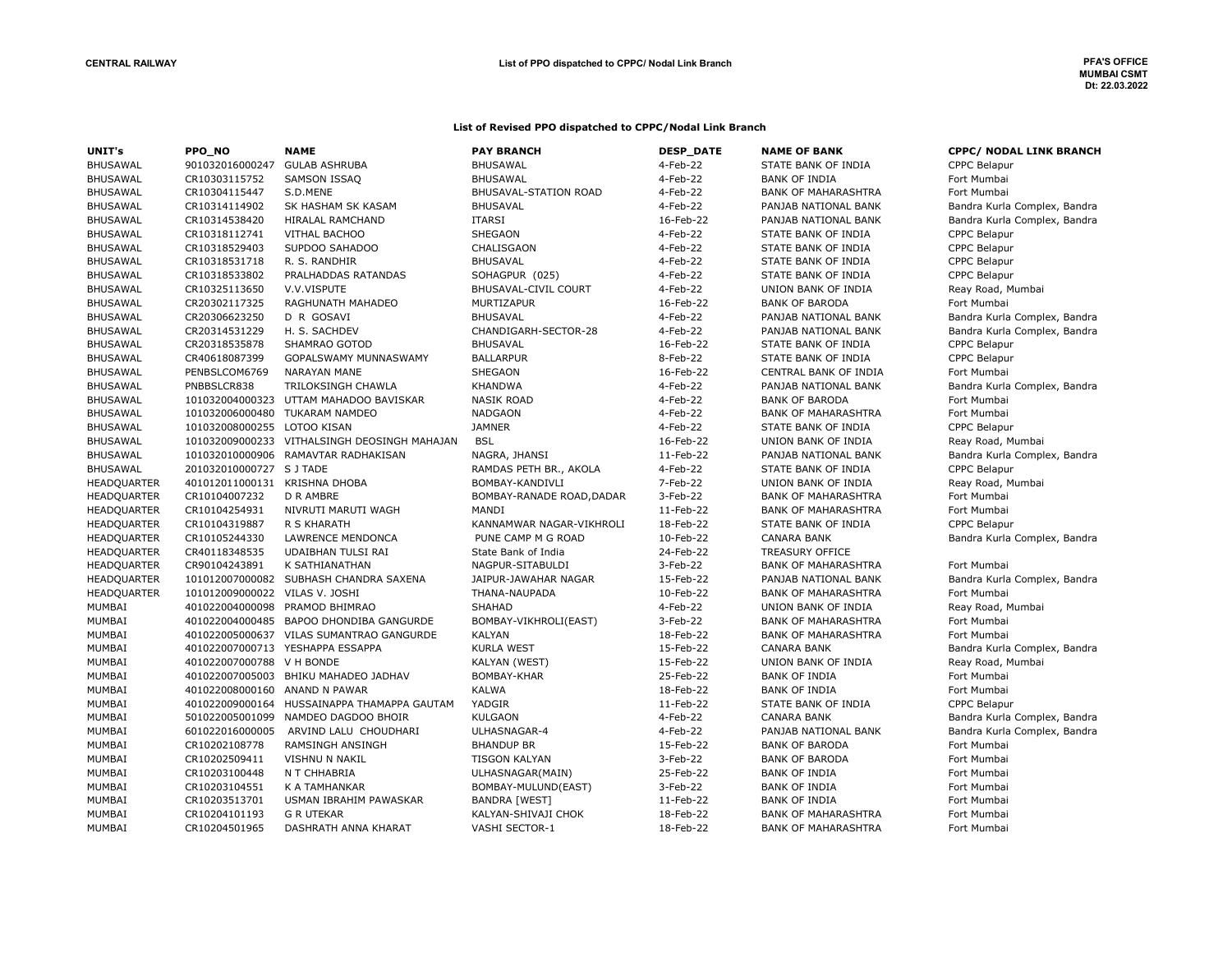#### List of Revised PPO dispatched to CPPC/Nodal Link Branch

| UNIT's             | PPO_NO                         | <b>NAME</b>                                  | <b>PAY BRANCH</b>         | <b>DESP DATE</b> | <b>NAME OF BANK</b>        | <b>CPPC/ NODAL LINK BRANCH</b> |
|--------------------|--------------------------------|----------------------------------------------|---------------------------|------------------|----------------------------|--------------------------------|
| <b>BHUSAWAL</b>    | 901032016000247                | <b>GULAB ASHRUBA</b>                         | <b>BHUSAWAL</b>           | 4-Feb-22         | STATE BANK OF INDIA        | <b>CPPC Belapur</b>            |
| <b>BHUSAWAL</b>    | CR10303115752                  | SAMSON ISSAQ                                 | <b>BHUSAWAL</b>           | 4-Feb-22         | <b>BANK OF INDIA</b>       | Fort Mumbai                    |
| <b>BHUSAWAL</b>    | CR10304115447                  | S.D.MENE                                     | BHUSAVAL-STATION ROAD     | 4-Feb-22         | <b>BANK OF MAHARASHTRA</b> | Fort Mumbai                    |
| <b>BHUSAWAL</b>    | CR10314114902                  | SK HASHAM SK KASAM                           | <b>BHUSAVAL</b>           | 4-Feb-22         | PANJAB NATIONAL BANK       | Bandra Kurla Complex, Bandra   |
| <b>BHUSAWAL</b>    | CR10314538420                  | HIRALAL RAMCHAND                             | <b>ITARSI</b>             | 16-Feb-22        | PANJAB NATIONAL BANK       | Bandra Kurla Complex, Bandra   |
| <b>BHUSAWAL</b>    | CR10318112741                  | <b>VITHAL BACHOO</b>                         | <b>SHEGAON</b>            | 4-Feb-22         | STATE BANK OF INDIA        | <b>CPPC Belapur</b>            |
| <b>BHUSAWAL</b>    | CR10318529403                  | SUPDOO SAHADOO                               | CHALISGAON                | 4-Feb-22         | STATE BANK OF INDIA        | <b>CPPC Belapur</b>            |
| <b>BHUSAWAL</b>    | CR10318531718                  | R. S. RANDHIR                                | <b>BHUSAVAL</b>           | 4-Feb-22         | STATE BANK OF INDIA        | <b>CPPC Belapur</b>            |
| <b>BHUSAWAL</b>    | CR10318533802                  | PRALHADDAS RATANDAS                          | SOHAGPUR (025)            | 4-Feb-22         | STATE BANK OF INDIA        | <b>CPPC Belapur</b>            |
| <b>BHUSAWAL</b>    | CR10325113650                  | V.V.VISPUTE                                  | BHUSAVAL-CIVIL COURT      | 4-Feb-22         | UNION BANK OF INDIA        | Reay Road, Mumbai              |
| <b>BHUSAWAL</b>    | CR20302117325                  | RAGHUNATH MAHADEO                            | MURTIZAPUR                | 16-Feb-22        | <b>BANK OF BARODA</b>      | Fort Mumbai                    |
| <b>BHUSAWAL</b>    | CR20306623250                  | D R GOSAVI                                   | <b>BHUSAVAL</b>           | 4-Feb-22         | PANJAB NATIONAL BANK       | Bandra Kurla Complex, Bandra   |
| <b>BHUSAWAL</b>    | CR20314531229                  | H. S. SACHDEV                                | CHANDIGARH-SECTOR-28      | 4-Feb-22         | PANJAB NATIONAL BANK       | Bandra Kurla Complex, Bandra   |
| <b>BHUSAWAL</b>    | CR20318535878                  | SHAMRAO GOTOD                                | <b>BHUSAVAL</b>           | 16-Feb-22        | STATE BANK OF INDIA        | <b>CPPC Belapur</b>            |
| <b>BHUSAWAL</b>    | CR40618087399                  | GOPALSWAMY MUNNASWAMY                        | <b>BALLARPUR</b>          | 8-Feb-22         | STATE BANK OF INDIA        | <b>CPPC Belapur</b>            |
| <b>BHUSAWAL</b>    | PENBSLCOM6769                  | <b>NARAYAN MANE</b>                          | SHEGAON                   | 16-Feb-22        | CENTRAL BANK OF INDIA      | Fort Mumbai                    |
| <b>BHUSAWAL</b>    | PNBBSLCR838                    | TRILOKSINGH CHAWLA                           | <b>KHANDWA</b>            | 4-Feb-22         | PANJAB NATIONAL BANK       | Bandra Kurla Complex, Bandra   |
| <b>BHUSAWAL</b>    | 101032004000323                | UTTAM MAHADOO BAVISKAR                       | <b>NASIK ROAD</b>         | 4-Feb-22         | <b>BANK OF BARODA</b>      | Fort Mumbai                    |
| <b>BHUSAWAL</b>    |                                | 101032006000480 TUKARAM NAMDEO               | <b>NADGAON</b>            | 4-Feb-22         | <b>BANK OF MAHARASHTRA</b> | Fort Mumbai                    |
| <b>BHUSAWAL</b>    | 101032008000255 LOTOO KISAN    |                                              | <b>JAMNER</b>             | 4-Feb-22         | STATE BANK OF INDIA        | <b>CPPC Belapur</b>            |
| <b>BHUSAWAL</b>    |                                | 101032009000233 VITHALSINGH DEOSINGH MAHAJAN | <b>BSL</b>                | 16-Feb-22        | UNION BANK OF INDIA        | Reay Road, Mumbai              |
| <b>BHUSAWAL</b>    |                                | 101032010000906 RAMAVTAR RADHAKISAN          | NAGRA, JHANSI             | 11-Feb-22        | PANJAB NATIONAL BANK       | Bandra Kurla Complex, Bandra   |
| <b>BHUSAWAL</b>    | 201032010000727 SJTADE         |                                              | RAMDAS PETH BR., AKOLA    | 4-Feb-22         | STATE BANK OF INDIA        | <b>CPPC Belapur</b>            |
| HEADQUARTER        | 401012011000131 KRISHNA DHOBA  |                                              | BOMBAY-KANDIVLI           | 7-Feb-22         | UNION BANK OF INDIA        | Reay Road, Mumbai              |
| <b>HEADQUARTER</b> | CR10104007232                  | <b>D R AMBRE</b>                             | BOMBAY-RANADE ROAD, DADAR | 3-Feb-22         | <b>BANK OF MAHARASHTRA</b> | Fort Mumbai                    |
| <b>HEADQUARTER</b> | CR10104254931                  | NIVRUTI MARUTI WAGH                          | MANDI                     | 11-Feb-22        | <b>BANK OF MAHARASHTRA</b> | Fort Mumbai                    |
| HEADQUARTER        | CR10104319887                  | R S KHARATH                                  | KANNAMWAR NAGAR-VIKHROLI  | 18-Feb-22        | STATE BANK OF INDIA        | <b>CPPC Belapur</b>            |
| HEADQUARTER        | CR10105244330                  | LAWRENCE MENDONCA                            | PUNE CAMP M G ROAD        | 10-Feb-22        | <b>CANARA BANK</b>         | Bandra Kurla Complex, Bandra   |
| HEADQUARTER        | CR40118348535                  | UDAIBHAN TULSI RAI                           | State Bank of India       | 24-Feb-22        | <b>TREASURY OFFICE</b>     |                                |
| HEADQUARTER        | CR90104243891                  | K SATHIANATHAN                               | NAGPUR-SITABULDI          | 3-Feb-22         | <b>BANK OF MAHARASHTRA</b> | Fort Mumbai                    |
| <b>HEADQUARTER</b> |                                | 101012007000082 SUBHASH CHANDRA SAXENA       | JAIPUR-JAWAHAR NAGAR      | 15-Feb-22        | PANJAB NATIONAL BANK       | Bandra Kurla Complex, Bandra   |
| <b>HEADQUARTER</b> | 101012009000022 VILAS V. JOSHI |                                              | THANA-NAUPADA             | 10-Feb-22        | <b>BANK OF MAHARASHTRA</b> | Fort Mumbai                    |
| MUMBAI             |                                | 401022004000098 PRAMOD BHIMRAO               | <b>SHAHAD</b>             | 4-Feb-22         | UNION BANK OF INDIA        | Reay Road, Mumbai              |
| MUMBAI             |                                | 401022004000485 BAPOO DHONDIBA GANGURDE      | BOMBAY-VIKHROLI(EAST)     | 3-Feb-22         | <b>BANK OF MAHARASHTRA</b> | Fort Mumbai                    |
| MUMBAI             |                                | 401022005000637 VILAS SUMANTRAO GANGURDE     | <b>KALYAN</b>             | 18-Feb-22        | <b>BANK OF MAHARASHTRA</b> | Fort Mumbai                    |
| MUMBAI             |                                | 401022007000713 YESHAPPA ESSAPPA             | <b>KURLA WEST</b>         | 15-Feb-22        | <b>CANARA BANK</b>         | Bandra Kurla Complex, Bandra   |
| MUMBAI             | 401022007000788 V H BONDE      |                                              | <b>KALYAN (WEST)</b>      | 15-Feb-22        | UNION BANK OF INDIA        | Reay Road, Mumbai              |
| MUMBAI             |                                | 401022007005003 BHIKU MAHADEO JADHAV         | BOMBAY-KHAR               | 25-Feb-22        | <b>BANK OF INDIA</b>       | Fort Mumbai                    |
| MUMBAI             | 401022008000160 ANAND N PAWAR  |                                              | <b>KALWA</b>              | 18-Feb-22        | <b>BANK OF INDIA</b>       | Fort Mumbai                    |
| MUMBAI             |                                | 401022009000164 HUSSAINAPPA THAMAPPA GAUTAM  | YADGIR                    | 11-Feb-22        | STATE BANK OF INDIA        | <b>CPPC Belapur</b>            |
| MUMBAI             | 501022005001099                | NAMDEO DAGDOO BHOIR                          | <b>KULGAON</b>            | 4-Feb-22         | <b>CANARA BANK</b>         | Bandra Kurla Complex, Bandra   |
| MUMBAI             | 601022016000005                | ARVIND LALU CHOUDHARI                        | ULHASNAGAR-4              | 4-Feb-22         | PANJAB NATIONAL BANK       | Bandra Kurla Complex, Bandra   |
| MUMBAI             | CR10202108778                  | <b>RAMSINGH ANSINGH</b>                      | <b>BHANDUP BR</b>         | 15-Feb-22        | <b>BANK OF BARODA</b>      | Fort Mumbai                    |
| MUMBAI             | CR10202509411                  | VISHNU N NAKIL                               | <b>TISGON KALYAN</b>      | 3-Feb-22         | <b>BANK OF BARODA</b>      | Fort Mumbai                    |
| MUMBAI             | CR10203100448                  | N T CHHABRIA                                 | ULHASNAGAR(MAIN)          | 25-Feb-22        | <b>BANK OF INDIA</b>       | Fort Mumbai                    |
| MUMBAI             | CR10203104551                  | K A TAMHANKAR                                | BOMBAY-MULUND(EAST)       | 3-Feb-22         | <b>BANK OF INDIA</b>       | Fort Mumbai                    |
| MUMBAI             | CR10203513701                  | USMAN IBRAHIM PAWASKAR                       | BANDRA [WEST]             | 11-Feb-22        | <b>BANK OF INDIA</b>       | Fort Mumbai                    |
| MUMBAI             | CR10204101193                  | <b>G R UTEKAR</b>                            | KALYAN-SHIVAJI CHOK       | 18-Feb-22        | <b>BANK OF MAHARASHTRA</b> | Fort Mumbai                    |
| MUMBAI             | CR10204501965                  | DASHRATH ANNA KHARAT                         | VASHI SECTOR-1            | 18-Feb-22        | <b>BANK OF MAHARASHTRA</b> | Fort Mumbai                    |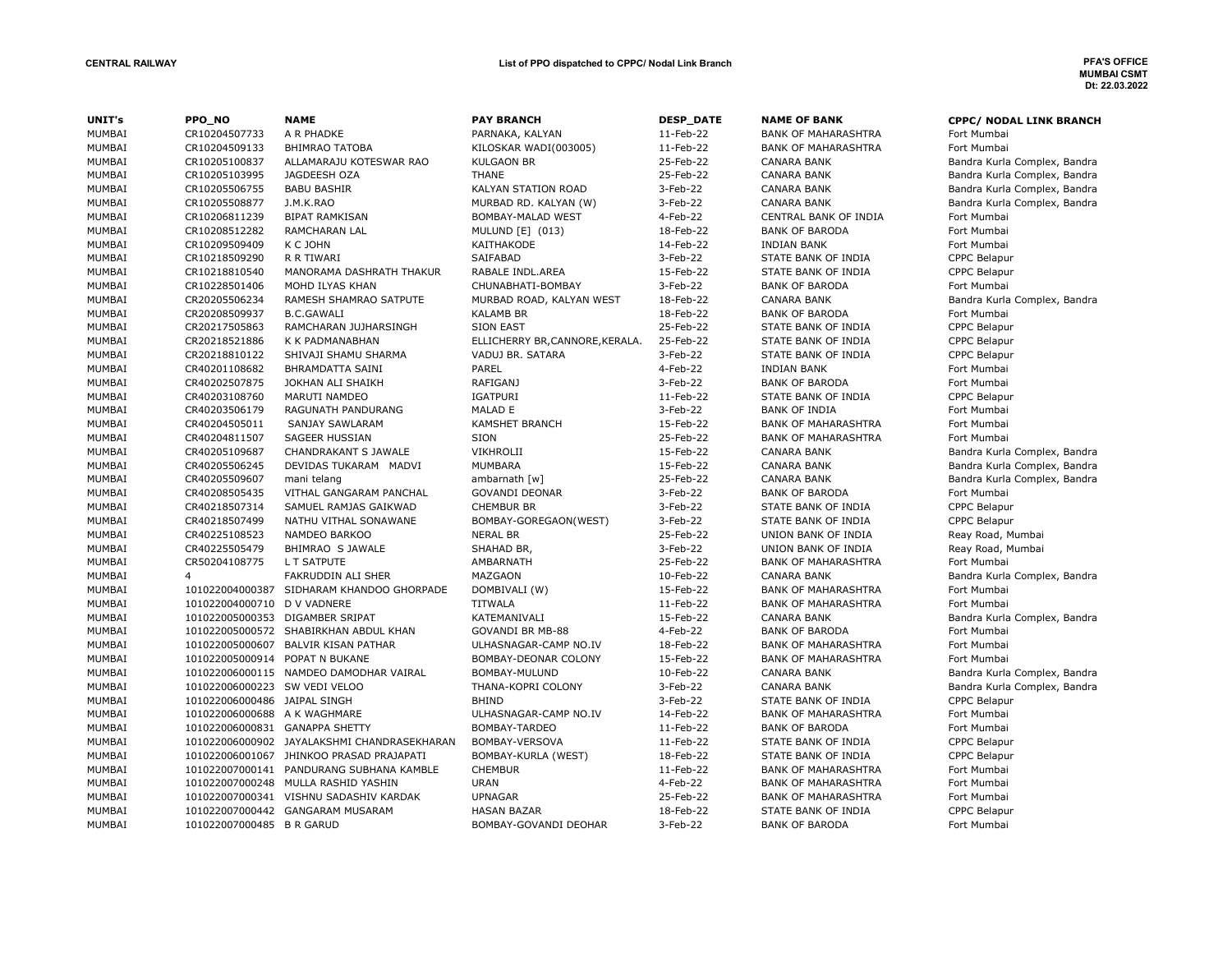| UNIT's        | PPO_NO                         | <b>NAME</b>                                 | <b>PAY BRANCH</b>               | <b>DESP_DATE</b> | <b>NAME OF BANK</b>        | <b>CPPC/ NODAL LINK BRANCH</b> |
|---------------|--------------------------------|---------------------------------------------|---------------------------------|------------------|----------------------------|--------------------------------|
| MUMBAI        | CR10204507733                  | A R PHADKE                                  | PARNAKA, KALYAN                 | 11-Feb-22        | <b>BANK OF MAHARASHTRA</b> | Fort Mumbai                    |
| MUMBAI        | CR10204509133                  | <b>BHIMRAO TATOBA</b>                       | KILOSKAR WADI(003005)           | 11-Feb-22        | <b>BANK OF MAHARASHTRA</b> | Fort Mumbai                    |
| MUMBAI        | CR10205100837                  | ALLAMARAJU KOTESWAR RAO                     | <b>KULGAON BR</b>               | 25-Feb-22        | <b>CANARA BANK</b>         | Bandra Kurla Complex, Bandra   |
| MUMBAI        | CR10205103995                  | JAGDEESH OZA                                | <b>THANE</b>                    | 25-Feb-22        | <b>CANARA BANK</b>         | Bandra Kurla Complex, Bandra   |
| MUMBAI        | CR10205506755                  | <b>BABU BASHIR</b>                          | <b>KALYAN STATION ROAD</b>      | 3-Feb-22         | <b>CANARA BANK</b>         | Bandra Kurla Complex, Bandra   |
| MUMBAI        | CR10205508877                  | J.M.K.RAO                                   | MURBAD RD. KALYAN (W)           | 3-Feb-22         | <b>CANARA BANK</b>         | Bandra Kurla Complex, Bandra   |
| MUMBAI        | CR10206811239                  | <b>BIPAT RAMKISAN</b>                       | BOMBAY-MALAD WEST               | 4-Feb-22         | CENTRAL BANK OF INDIA      | Fort Mumbai                    |
| MUMBAI        | CR10208512282                  | RAMCHARAN LAL                               | MULUND [E] (013)                | 18-Feb-22        | <b>BANK OF BARODA</b>      | Fort Mumbai                    |
| MUMBAI        | CR10209509409                  | K C JOHN                                    | KAITHAKODE                      | 14-Feb-22        | <b>INDIAN BANK</b>         | Fort Mumbai                    |
| MUMBAI        | CR10218509290                  | R R TIWARI                                  | SAIFABAD                        | 3-Feb-22         | STATE BANK OF INDIA        | CPPC Belapur                   |
| MUMBAI        | CR10218810540                  | MANORAMA DASHRATH THAKUR                    | RABALE INDL.AREA                | 15-Feb-22        | STATE BANK OF INDIA        | CPPC Belapur                   |
| MUMBAI        | CR10228501406                  | MOHD ILYAS KHAN                             | CHUNABHATI-BOMBAY               | 3-Feb-22         | <b>BANK OF BARODA</b>      | Fort Mumbai                    |
| MUMBAI        | CR20205506234                  | RAMESH SHAMRAO SATPUTE                      | MURBAD ROAD, KALYAN WEST        | 18-Feb-22        | <b>CANARA BANK</b>         | Bandra Kurla Complex, Bandra   |
| MUMBAI        | CR20208509937                  | <b>B.C.GAWALI</b>                           | <b>KALAMB BR</b>                | 18-Feb-22        | <b>BANK OF BARODA</b>      | Fort Mumbai                    |
| MUMBAI        | CR20217505863                  | RAMCHARAN JUJHARSINGH                       | <b>SION EAST</b>                | 25-Feb-22        | STATE BANK OF INDIA        | <b>CPPC Belapur</b>            |
| MUMBAI        | CR20218521886                  | K K PADMANABHAN                             | ELLICHERRY BR, CANNORE, KERALA. | 25-Feb-22        | STATE BANK OF INDIA        | CPPC Belapur                   |
| MUMBAI        | CR20218810122                  | SHIVAJI SHAMU SHARMA                        | VADUJ BR. SATARA                | 3-Feb-22         | STATE BANK OF INDIA        | <b>CPPC Belapur</b>            |
| MUMBAI        | CR40201108682                  | <b>BHRAMDATTA SAINI</b>                     | PAREL                           | 4-Feb-22         | <b>INDIAN BANK</b>         | Fort Mumbai                    |
| MUMBAI        | CR40202507875                  | JOKHAN ALI SHAIKH                           | <b>RAFIGANJ</b>                 | 3-Feb-22         | <b>BANK OF BARODA</b>      | Fort Mumbai                    |
| MUMBAI        | CR40203108760                  | MARUTI NAMDEO                               | IGATPURI                        | 11-Feb-22        | STATE BANK OF INDIA        | CPPC Belapur                   |
| MUMBAI        | CR40203506179                  | RAGUNATH PANDURANG                          | MALAD E                         | 3-Feb-22         | <b>BANK OF INDIA</b>       | Fort Mumbai                    |
| MUMBAI        | CR40204505011                  | SANJAY SAWLARAM                             | <b>KAMSHET BRANCH</b>           | 15-Feb-22        | <b>BANK OF MAHARASHTRA</b> | Fort Mumbai                    |
| MUMBAI        | CR40204811507                  | <b>SAGEER HUSSIAN</b>                       | SION                            | 25-Feb-22        | <b>BANK OF MAHARASHTRA</b> | Fort Mumbai                    |
| MUMBAI        | CR40205109687                  | CHANDRAKANT S JAWALE                        | VIKHROLII                       | 15-Feb-22        | <b>CANARA BANK</b>         | Bandra Kurla Complex, Bandra   |
| MUMBAI        | CR40205506245                  | DEVIDAS TUKARAM MADVI                       | <b>MUMBARA</b>                  | 15-Feb-22        | <b>CANARA BANK</b>         | Bandra Kurla Complex, Bandra   |
| MUMBAI        | CR40205509607                  | mani telang                                 | ambarnath [w]                   | 25-Feb-22        | <b>CANARA BANK</b>         | Bandra Kurla Complex, Bandra   |
| MUMBAI        | CR40208505435                  | VITHAL GANGARAM PANCHAL                     | <b>GOVANDI DEONAR</b>           | 3-Feb-22         | <b>BANK OF BARODA</b>      | Fort Mumbai                    |
| MUMBAI        | CR40218507314                  | SAMUEL RAMJAS GAIKWAD                       | <b>CHEMBUR BR</b>               | 3-Feb-22         | STATE BANK OF INDIA        | CPPC Belapur                   |
| MUMBAI        | CR40218507499                  | NATHU VITHAL SONAWANE                       | BOMBAY-GOREGAON(WEST)           | 3-Feb-22         | STATE BANK OF INDIA        | <b>CPPC Belapur</b>            |
| MUMBAI        | CR40225108523                  | NAMDEO BARKOO                               | <b>NERAL BR</b>                 | 25-Feb-22        | UNION BANK OF INDIA        | Reay Road, Mumbai              |
| MUMBAI        | CR40225505479                  | BHIMRAO S JAWALE                            | SHAHAD BR,                      | 3-Feb-22         | UNION BANK OF INDIA        | Reay Road, Mumbai              |
| MUMBAI        | CR50204108775                  | L T SATPUTE                                 | AMBARNATH                       | 25-Feb-22        | <b>BANK OF MAHARASHTRA</b> | Fort Mumbai                    |
| MUMBAI        | $\overline{4}$                 | <b>FAKRUDDIN ALI SHER</b>                   | MAZGAON                         | 10-Feb-22        | <b>CANARA BANK</b>         | Bandra Kurla Complex, Bandra   |
| MUMBAI        |                                | 101022004000387 SIDHARAM KHANDOO GHORPADE   | DOMBIVALI (W)                   | 15-Feb-22        | <b>BANK OF MAHARASHTRA</b> | Fort Mumbai                    |
| MUMBAI        | 101022004000710 D V VADNERE    |                                             | <b>TITWALA</b>                  | 11-Feb-22        | <b>BANK OF MAHARASHTRA</b> | Fort Mumbai                    |
| MUMBAI        |                                | 101022005000353 DIGAMBER SRIPAT             | KATEMANIVALI                    | 15-Feb-22        | <b>CANARA BANK</b>         | Bandra Kurla Complex, Bandra   |
| MUMBAI        |                                | 101022005000572 SHABIRKHAN ABDUL KHAN       | <b>GOVANDI BR MB-88</b>         | 4-Feb-22         | <b>BANK OF BARODA</b>      | Fort Mumbai                    |
| MUMBAI        |                                | 101022005000607 BALVIR KISAN PATHAR         | ULHASNAGAR-CAMP NO.IV           | 18-Feb-22        | <b>BANK OF MAHARASHTRA</b> | Fort Mumbai                    |
| MUMBAI        | 101022005000914 POPAT N BUKANE |                                             | BOMBAY-DEONAR COLONY            | 15-Feb-22        | <b>BANK OF MAHARASHTRA</b> | Fort Mumbai                    |
| MUMBAI        |                                | 101022006000115 NAMDEO DAMODHAR VAIRAL      | BOMBAY-MULUND                   | 10-Feb-22        | <b>CANARA BANK</b>         | Bandra Kurla Complex, Bandra   |
| MUMBAI        | 101022006000223 SW VEDI VELOO  |                                             | THANA-KOPRI COLONY              | 3-Feb-22         | <b>CANARA BANK</b>         | Bandra Kurla Complex, Bandra   |
| MUMBAI        | 101022006000486 JAIPAL SINGH   |                                             | <b>BHIND</b>                    | 3-Feb-22         | STATE BANK OF INDIA        | CPPC Belapur                   |
| MUMBAI        | 101022006000688 A K WAGHMARE   |                                             | ULHASNAGAR-CAMP NO.IV           | 14-Feb-22        | <b>BANK OF MAHARASHTRA</b> | Fort Mumbai                    |
| MUMBAI        | 101022006000831 GANAPPA SHETTY |                                             | BOMBAY-TARDEO                   | 11-Feb-22        | <b>BANK OF BARODA</b>      | Fort Mumbai                    |
| MUMBAI        |                                | 101022006000902 JAYALAKSHMI CHANDRASEKHARAN | BOMBAY-VERSOVA                  | 11-Feb-22        | STATE BANK OF INDIA        | <b>CPPC Belapur</b>            |
| MUMBAI        |                                | 101022006001067 JHINKOO PRASAD PRAJAPATI    | BOMBAY-KURLA (WEST)             | 18-Feb-22        | STATE BANK OF INDIA        | CPPC Belapur                   |
| MUMBAI        |                                | 101022007000141 PANDURANG SUBHANA KAMBLE    | <b>CHEMBUR</b>                  | 11-Feb-22        | <b>BANK OF MAHARASHTRA</b> | Fort Mumbai                    |
| MUMBAI        |                                | 101022007000248 MULLA RASHID YASHIN         | <b>URAN</b>                     | 4-Feb-22         | <b>BANK OF MAHARASHTRA</b> | Fort Mumbai                    |
| MUMBAI        |                                | 101022007000341 VISHNU SADASHIV KARDAK      | <b>UPNAGAR</b>                  | 25-Feb-22        | <b>BANK OF MAHARASHTRA</b> | Fort Mumbai                    |
| MUMBAI        |                                | 101022007000442 GANGARAM MUSARAM            | <b>HASAN BAZAR</b>              | 18-Feb-22        | STATE BANK OF INDIA        | CPPC Belapur                   |
| <b>MUMBAI</b> | 101022007000485 B R GARUD      |                                             | BOMBAY-GOVANDI DEOHAR           | 3-Feb-22         | <b>BANK OF BARODA</b>      | Fort Mumbai                    |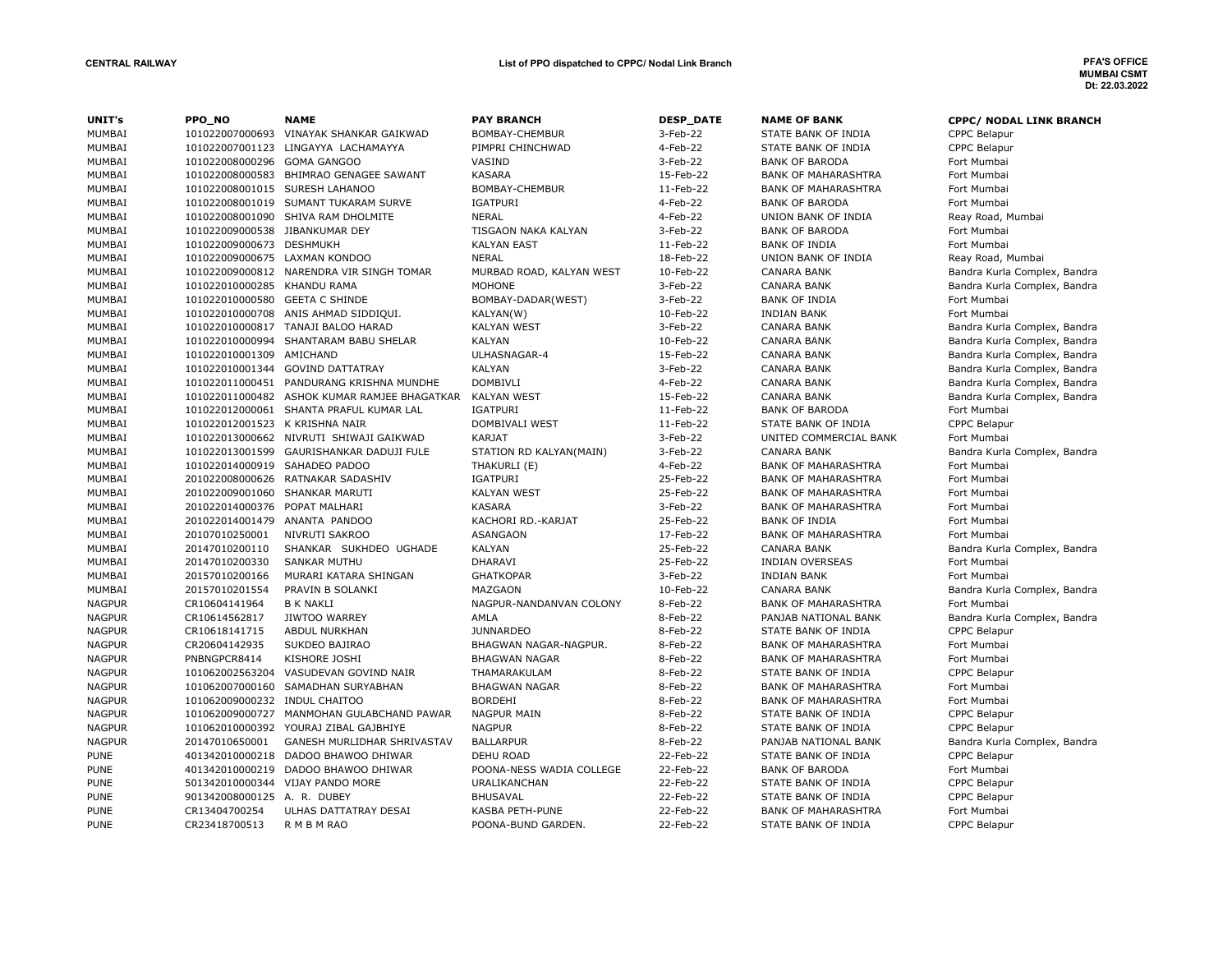| UNIT's        | PPO_NO                         | <b>NAME</b>                                  | <b>PAY BRANCH</b>        | <b>DESP_DATE</b> | <b>NAME OF BANK</b>        | <b>CPPC/ NODAL LINK BRANCH</b> |
|---------------|--------------------------------|----------------------------------------------|--------------------------|------------------|----------------------------|--------------------------------|
| MUMBAI        | 101022007000693                | VINAYAK SHANKAR GAIKWAD                      | BOMBAY-CHEMBUR           | 3-Feb-22         | STATE BANK OF INDIA        | <b>CPPC Belapur</b>            |
| MUMBAI        | 101022007001123                | LINGAYYA LACHAMAYYA                          | PIMPRI CHINCHWAD         | 4-Feb-22         | STATE BANK OF INDIA        | CPPC Belapur                   |
| MUMBAI        | 101022008000296 GOMA GANGOO    |                                              | VASIND                   | 3-Feb-22         | <b>BANK OF BARODA</b>      | Fort Mumbai                    |
| MUMBAI        |                                | 101022008000583 BHIMRAO GENAGEE SAWANT       | <b>KASARA</b>            | 15-Feb-22        | <b>BANK OF MAHARASHTRA</b> | Fort Mumbai                    |
| MUMBAI        | 101022008001015 SURESH LAHANOO |                                              | BOMBAY-CHEMBUR           | 11-Feb-22        | <b>BANK OF MAHARASHTRA</b> | Fort Mumbai                    |
| MUMBAI        |                                | 101022008001019 SUMANT TUKARAM SURVE         | <b>IGATPURI</b>          | 4-Feb-22         | <b>BANK OF BARODA</b>      | Fort Mumbai                    |
| MUMBAI        |                                | 101022008001090 SHIVA RAM DHOLMITE           | <b>NERAL</b>             | 4-Feb-22         | UNION BANK OF INDIA        | Reay Road, Mumbai              |
| MUMBAI        | 101022009000538 JIBANKUMAR DEY |                                              | TISGAON NAKA KALYAN      | 3-Feb-22         | <b>BANK OF BARODA</b>      | Fort Mumbai                    |
| MUMBAI        | 101022009000673 DESHMUKH       |                                              | <b>KALYAN EAST</b>       | 11-Feb-22        | <b>BANK OF INDIA</b>       | Fort Mumbai                    |
| MUMBAI        | 101022009000675 LAXMAN KONDOO  |                                              | <b>NERAL</b>             | 18-Feb-22        | UNION BANK OF INDIA        | Reay Road, Mumbai              |
| MUMBAI        |                                | 101022009000812 NARENDRA VIR SINGH TOMAR     | MURBAD ROAD, KALYAN WEST | 10-Feb-22        | <b>CANARA BANK</b>         | Bandra Kurla Complex, Bandra   |
| MUMBAI        | 101022010000285 KHANDU RAMA    |                                              | MOHONE                   | 3-Feb-22         | <b>CANARA BANK</b>         | Bandra Kurla Complex, Bandra   |
| MUMBAI        | 101022010000580 GEETA C SHINDE |                                              | BOMBAY-DADAR(WEST)       | 3-Feb-22         | <b>BANK OF INDIA</b>       | Fort Mumbai                    |
| MUMBAI        |                                | 101022010000708 ANIS AHMAD SIDDIQUI.         | KALYAN(W)                | 10-Feb-22        | <b>INDIAN BANK</b>         | Fort Mumbai                    |
| MUMBAI        |                                | 101022010000817 TANAJI BALOO HARAD           | <b>KALYAN WEST</b>       | 3-Feb-22         | <b>CANARA BANK</b>         | Bandra Kurla Complex, Bandra   |
| MUMBAI        |                                | 101022010000994 SHANTARAM BABU SHELAR        | KALYAN                   | 10-Feb-22        | <b>CANARA BANK</b>         | Bandra Kurla Complex, Bandra   |
| MUMBAI        | 101022010001309 AMICHAND       |                                              | ULHASNAGAR-4             | 15-Feb-22        | <b>CANARA BANK</b>         | Bandra Kurla Complex, Bandra   |
| MUMBAI        |                                | 101022010001344 GOVIND DATTATRAY             | KALYAN                   | 3-Feb-22         | <b>CANARA BANK</b>         | Bandra Kurla Complex, Bandra   |
| MUMBAI        |                                | 101022011000451 PANDURANG KRISHNA MUNDHE     | DOMBIVLI                 | 4-Feb-22         | <b>CANARA BANK</b>         | Bandra Kurla Complex, Bandra   |
| MUMBAI        |                                | 101022011000482 ASHOK KUMAR RAMJEE BHAGATKAR | <b>KALYAN WEST</b>       | 15-Feb-22        | <b>CANARA BANK</b>         | Bandra Kurla Complex, Bandra   |
| MUMBAI        |                                | 101022012000061 SHANTA PRAFUL KUMAR LAL      | <b>IGATPURI</b>          | 11-Feb-22        | <b>BANK OF BARODA</b>      | Fort Mumbai                    |
| MUMBAI        | 101022012001523 K KRISHNA NAIR |                                              | DOMBIVALI WEST           | 11-Feb-22        | STATE BANK OF INDIA        | CPPC Belapur                   |
| MUMBAI        |                                | 101022013000662 NIVRUTI SHIWAJI GAIKWAD      | <b>KARJAT</b>            | 3-Feb-22         | UNITED COMMERCIAL BANK     | Fort Mumbai                    |
| MUMBAI        |                                | 101022013001599 GAURISHANKAR DADUJI FULE     | STATION RD KALYAN(MAIN)  | 3-Feb-22         | <b>CANARA BANK</b>         | Bandra Kurla Complex, Bandra   |
| MUMBAI        | 101022014000919                | SAHADEO PADOO                                | THAKURLI (E)             | 4-Feb-22         | <b>BANK OF MAHARASHTRA</b> | Fort Mumbai                    |
| MUMBAI        |                                | 201022008000626 RATNAKAR SADASHIV            | <b>IGATPURI</b>          | 25-Feb-22        | <b>BANK OF MAHARASHTRA</b> | Fort Mumbai                    |
| MUMBAI        | 201022009001060 SHANKAR MARUTI |                                              | <b>KALYAN WEST</b>       | 25-Feb-22        | <b>BANK OF MAHARASHTRA</b> | Fort Mumbai                    |
| MUMBAI        | 201022014000376 POPAT MALHARI  |                                              | <b>KASARA</b>            | 3-Feb-22         | <b>BANK OF MAHARASHTRA</b> | Fort Mumbai                    |
| MUMBAI        | 201022014001479 ANANTA PANDOO  |                                              | KACHORI RD.-KARJAT       | 25-Feb-22        | <b>BANK OF INDIA</b>       | Fort Mumbai                    |
| MUMBAI        | 20107010250001                 | NIVRUTI SAKROO                               | <b>ASANGAON</b>          | 17-Feb-22        | <b>BANK OF MAHARASHTRA</b> | Fort Mumbai                    |
| MUMBAI        | 20147010200110                 | SHANKAR SUKHDEO UGHADE                       | <b>KALYAN</b>            | 25-Feb-22        | <b>CANARA BANK</b>         | Bandra Kurla Complex, Bandra   |
| MUMBAI        | 20147010200330                 | <b>SANKAR MUTHU</b>                          | <b>DHARAVI</b>           | 25-Feb-22        | <b>INDIAN OVERSEAS</b>     | Fort Mumbai                    |
| MUMBAI        | 20157010200166                 | MURARI KATARA SHINGAN                        | <b>GHATKOPAR</b>         | 3-Feb-22         | <b>INDIAN BANK</b>         | Fort Mumbai                    |
| MUMBAI        | 20157010201554                 | PRAVIN B SOLANKI                             | MAZGAON                  | 10-Feb-22        | <b>CANARA BANK</b>         | Bandra Kurla Complex, Bandra   |
| <b>NAGPUR</b> | CR10604141964                  | <b>B K NAKLI</b>                             | NAGPUR-NANDANVAN COLONY  | 8-Feb-22         | <b>BANK OF MAHARASHTRA</b> | Fort Mumbai                    |
| <b>NAGPUR</b> | CR10614562817                  | <b>JIWTOO WARREY</b>                         | AMLA                     | 8-Feb-22         | PANJAB NATIONAL BANK       | Bandra Kurla Complex, Bandra   |
| <b>NAGPUR</b> | CR10618141715                  | <b>ABDUL NURKHAN</b>                         | <b>JUNNARDEO</b>         | 8-Feb-22         | STATE BANK OF INDIA        | CPPC Belapur                   |
| <b>NAGPUR</b> | CR20604142935                  | SUKDEO BAJIRAO                               | BHAGWAN NAGAR-NAGPUR.    | 8-Feb-22         | <b>BANK OF MAHARASHTRA</b> | Fort Mumbai                    |
| <b>NAGPUR</b> | PNBNGPCR8414                   | KISHORE JOSHI                                | <b>BHAGWAN NAGAR</b>     | 8-Feb-22         | <b>BANK OF MAHARASHTRA</b> | Fort Mumbai                    |
| <b>NAGPUR</b> | 101062002563204                | VASUDEVAN GOVIND NAIR                        | THAMARAKULAM             | 8-Feb-22         | STATE BANK OF INDIA        | <b>CPPC Belapur</b>            |
| <b>NAGPUR</b> | 101062007000160                | SAMADHAN SURYABHAN                           | <b>BHAGWAN NAGAR</b>     | 8-Feb-22         | <b>BANK OF MAHARASHTRA</b> | Fort Mumbai                    |
| <b>NAGPUR</b> | 101062009000232 INDUL CHAITOO  |                                              | <b>BORDEHI</b>           | 8-Feb-22         | <b>BANK OF MAHARASHTRA</b> | Fort Mumbai                    |
| <b>NAGPUR</b> |                                | 101062009000727 MANMOHAN GULABCHAND PAWAR    | NAGPUR MAIN              | 8-Feb-22         | STATE BANK OF INDIA        | <b>CPPC Belapur</b>            |
| <b>NAGPUR</b> |                                | 101062010000392 YOURAJ ZIBAL GAJBHIYE        | <b>NAGPUR</b>            | 8-Feb-22         | STATE BANK OF INDIA        | CPPC Belapur                   |
| <b>NAGPUR</b> | 20147010650001                 | <b>GANESH MURLIDHAR SHRIVASTAV</b>           | <b>BALLARPUR</b>         | 8-Feb-22         | PANJAB NATIONAL BANK       | Bandra Kurla Complex, Bandra   |
| <b>PUNE</b>   |                                | 401342010000218 DADOO BHAWOO DHIWAR          | DEHU ROAD                | 22-Feb-22        | STATE BANK OF INDIA        | CPPC Belapur                   |
| <b>PUNE</b>   |                                | 401342010000219 DADOO BHAWOO DHIWAR          | POONA-NESS WADIA COLLEGE | 22-Feb-22        | <b>BANK OF BARODA</b>      | Fort Mumbai                    |
| <b>PUNE</b>   |                                | 501342010000344 VIJAY PANDO MORE             | URALIKANCHAN             | 22-Feb-22        | STATE BANK OF INDIA        | <b>CPPC Belapur</b>            |
| <b>PUNE</b>   | 901342008000125                | A. R. DUBEY                                  | <b>BHUSAVAL</b>          | 22-Feb-22        | STATE BANK OF INDIA        | CPPC Belapur                   |
| <b>PUNE</b>   | CR13404700254                  | ULHAS DATTATRAY DESAI                        | <b>KASBA PETH-PUNE</b>   | 22-Feb-22        | <b>BANK OF MAHARASHTRA</b> | Fort Mumbai                    |
| <b>PUNE</b>   | CR23418700513                  | R M B M RAO                                  | POONA-BUND GARDEN.       | 22-Feb-22        | STATE BANK OF INDIA        | <b>CPPC Belapur</b>            |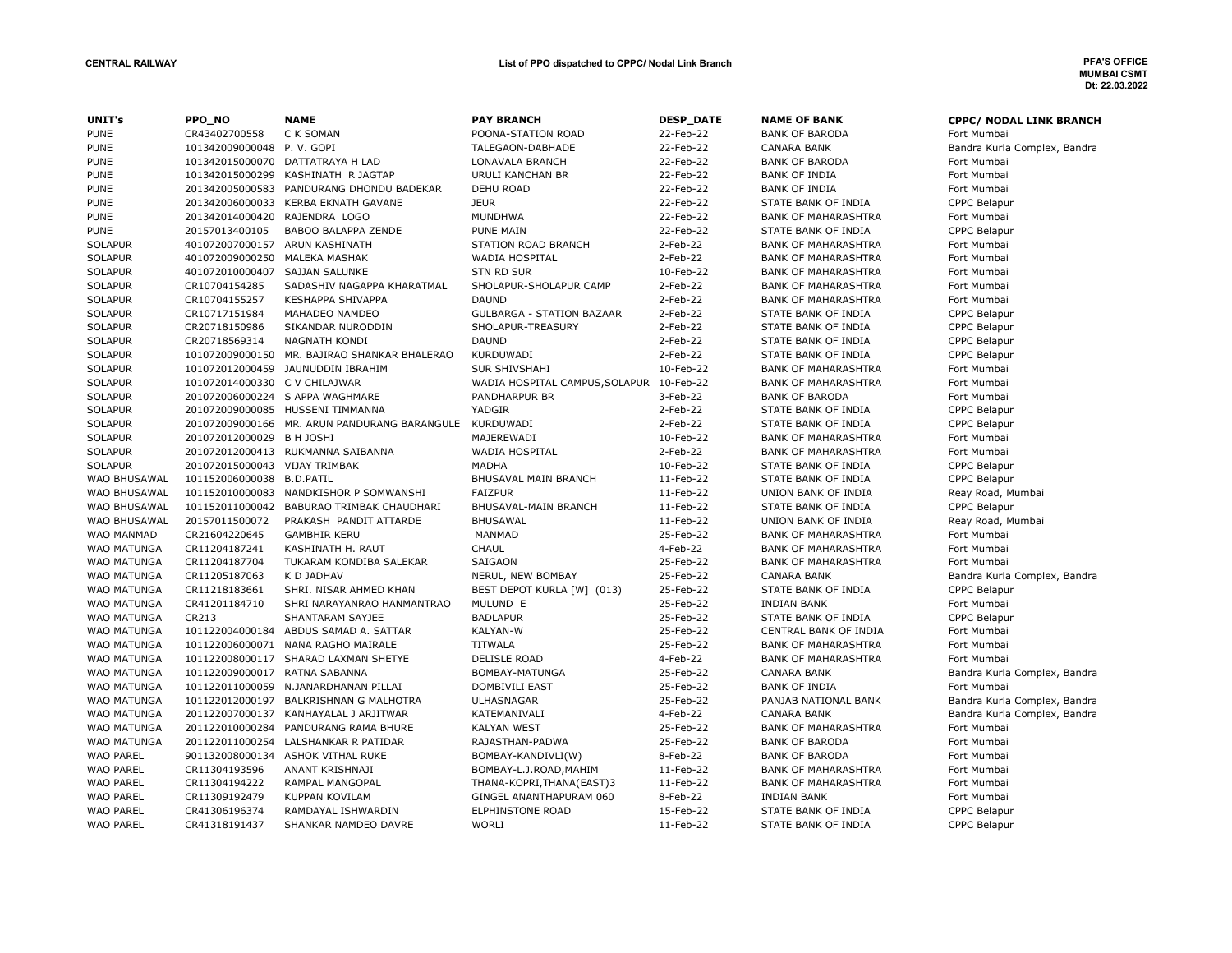| UNIT's             | PPO_NO                         | <b>NAME</b>                                            | <b>PAY BRANCH</b>                                   | <b>DESP_DATE</b> | <b>NAME OF BANK</b>        | CPPC/ NODAL LINK BRANCH      |
|--------------------|--------------------------------|--------------------------------------------------------|-----------------------------------------------------|------------------|----------------------------|------------------------------|
| <b>PUNE</b>        | CR43402700558                  | C K SOMAN                                              | POONA-STATION ROAD                                  | 22-Feb-22        | <b>BANK OF BARODA</b>      | Fort Mumbai                  |
| <b>PUNE</b>        | 101342009000048 P.V. GOPI      |                                                        | TALEGAON-DABHADE                                    | 22-Feb-22        | <b>CANARA BANK</b>         | Bandra Kurla Complex, Bandra |
| <b>PUNE</b>        |                                | 101342015000070 DATTATRAYA H LAD                       | LONAVALA BRANCH                                     | 22-Feb-22        | <b>BANK OF BARODA</b>      | Fort Mumbai                  |
| <b>PUNE</b>        |                                | 101342015000299 KASHINATH R JAGTAP                     | <b>URULI KANCHAN BR</b>                             | 22-Feb-22        | <b>BANK OF INDIA</b>       | Fort Mumbai                  |
| <b>PUNE</b>        |                                | 201342005000583 PANDURANG DHONDU BADEKAR               | <b>DEHU ROAD</b>                                    | 22-Feb-22        | <b>BANK OF INDIA</b>       | Fort Mumbai                  |
| <b>PUNE</b>        |                                | 201342006000033 KERBA EKNATH GAVANE                    | <b>JEUR</b>                                         | 22-Feb-22        | STATE BANK OF INDIA        | CPPC Belapur                 |
| <b>PUNE</b>        | 201342014000420 RAJENDRA LOGO  |                                                        | <b>MUNDHWA</b>                                      | 22-Feb-22        | <b>BANK OF MAHARASHTRA</b> | Fort Mumbai                  |
| <b>PUNE</b>        | 20157013400105                 | <b>BABOO BALAPPA ZENDE</b>                             | <b>PUNE MAIN</b>                                    | 22-Feb-22        | STATE BANK OF INDIA        | <b>CPPC Belapur</b>          |
| <b>SOLAPUR</b>     | 401072007000157 ARUN KASHINATH |                                                        | STATION ROAD BRANCH                                 | 2-Feb-22         | <b>BANK OF MAHARASHTRA</b> | Fort Mumbai                  |
| <b>SOLAPUR</b>     | 401072009000250 MALEKA MASHAK  |                                                        | WADIA HOSPITAL                                      | 2-Feb-22         | <b>BANK OF MAHARASHTRA</b> | Fort Mumbai                  |
| <b>SOLAPUR</b>     | 401072010000407                | SAJJAN SALUNKE                                         | <b>STN RD SUR</b>                                   | 10-Feb-22        | <b>BANK OF MAHARASHTRA</b> | Fort Mumbai                  |
| <b>SOLAPUR</b>     | CR10704154285                  | SADASHIV NAGAPPA KHARATMAL                             | SHOLAPUR-SHOLAPUR CAMP                              | 2-Feb-22         | <b>BANK OF MAHARASHTRA</b> | Fort Mumbai                  |
| <b>SOLAPUR</b>     | CR10704155257                  | <b>KESHAPPA SHIVAPPA</b>                               | <b>DAUND</b>                                        | 2-Feb-22         | <b>BANK OF MAHARASHTRA</b> | Fort Mumbai                  |
| <b>SOLAPUR</b>     | CR10717151984                  | MAHADEO NAMDEO                                         | <b>GULBARGA - STATION BAZAAR</b>                    | 2-Feb-22         | STATE BANK OF INDIA        | CPPC Belapur                 |
| <b>SOLAPUR</b>     | CR20718150986                  | SIKANDAR NURODDIN                                      | SHOLAPUR-TREASURY                                   | 2-Feb-22         | STATE BANK OF INDIA        | CPPC Belapur                 |
| <b>SOLAPUR</b>     | CR20718569314                  | <b>NAGNATH KONDI</b>                                   | <b>DAUND</b>                                        | 2-Feb-22         | STATE BANK OF INDIA        | CPPC Belapur                 |
| <b>SOLAPUR</b>     |                                | 101072009000150 MR. BAJIRAO SHANKAR BHALERAO           | <b>KURDUWADI</b>                                    | 2-Feb-22         | STATE BANK OF INDIA        | CPPC Belapur                 |
| <b>SOLAPUR</b>     |                                | 101072012000459 JAUNUDDIN IBRAHIM                      | <b>SUR SHIVSHAHI</b>                                | 10-Feb-22        | <b>BANK OF MAHARASHTRA</b> | Fort Mumbai                  |
| <b>SOLAPUR</b>     | 101072014000330 C V CHILAJWAR  |                                                        | WADIA HOSPITAL CAMPUS, SOLAPUR                      | 10-Feb-22        | <b>BANK OF MAHARASHTRA</b> | Fort Mumbai                  |
| <b>SOLAPUR</b>     |                                | 201072006000224 S APPA WAGHMARE                        | <b>PANDHARPUR BR</b>                                | 3-Feb-22         | <b>BANK OF BARODA</b>      | Fort Mumbai                  |
| <b>SOLAPUR</b>     |                                | 201072009000085 HUSSENI TIMMANNA                       | YADGIR                                              | 2-Feb-22         | STATE BANK OF INDIA        | CPPC Belapur                 |
| SOLAPUR            |                                | 201072009000166 MR. ARUN PANDURANG BARANGULE KURDUWADI |                                                     | 2-Feb-22         | STATE BANK OF INDIA        | CPPC Belapur                 |
| <b>SOLAPUR</b>     | 201072012000029 B H JOSHI      |                                                        | MAJEREWADI                                          | 10-Feb-22        | <b>BANK OF MAHARASHTRA</b> | Fort Mumbai                  |
| <b>SOLAPUR</b>     |                                | 201072012000413 RUKMANNA SAIBANNA                      | WADIA HOSPITAL                                      | 2-Feb-22         | <b>BANK OF MAHARASHTRA</b> | Fort Mumbai                  |
| <b>SOLAPUR</b>     | 201072015000043 VIJAY TRIMBAK  |                                                        | <b>MADHA</b>                                        | 10-Feb-22        | STATE BANK OF INDIA        | <b>CPPC Belapur</b>          |
| WAO BHUSAWAL       | 101152006000038 B.D.PATIL      |                                                        | BHUSAVAL MAIN BRANCH                                | 11-Feb-22        | STATE BANK OF INDIA        | CPPC Belapur                 |
| WAO BHUSAWAL       |                                | 101152010000083 NANDKISHOR P SOMWANSHI                 | <b>FAIZPUR</b>                                      | 11-Feb-22        | UNION BANK OF INDIA        | Reay Road, Mumbai            |
| WAO BHUSAWAL       |                                | 101152011000042 BABURAO TRIMBAK CHAUDHARI              | BHUSAVAL-MAIN BRANCH                                | 11-Feb-22        | STATE BANK OF INDIA        | <b>CPPC Belapur</b>          |
| WAO BHUSAWAL       | 20157011500072                 | PRAKASH PANDIT ATTARDE                                 | <b>BHUSAWAL</b>                                     | 11-Feb-22        | UNION BANK OF INDIA        | Reay Road, Mumbai            |
| WAO MANMAD         | CR21604220645                  | <b>GAMBHIR KERU</b>                                    | <b>MANMAD</b>                                       | 25-Feb-22        | <b>BANK OF MAHARASHTRA</b> | Fort Mumbai                  |
| WAO MATUNGA        | CR11204187241                  | KASHINATH H. RAUT                                      | <b>CHAUL</b>                                        | 4-Feb-22         | <b>BANK OF MAHARASHTRA</b> | Fort Mumbai                  |
| WAO MATUNGA        | CR11204187704                  | TUKARAM KONDIBA SALEKAR                                | SAIGAON                                             | 25-Feb-22        | <b>BANK OF MAHARASHTRA</b> | Fort Mumbai                  |
| <b>WAO MATUNGA</b> | CR11205187063                  | K D JADHAV                                             | NERUL, NEW BOMBAY                                   | 25-Feb-22        | <b>CANARA BANK</b>         | Bandra Kurla Complex, Bandra |
| <b>WAO MATUNGA</b> | CR11218183661                  | SHRI. NISAR AHMED KHAN                                 | BEST DEPOT KURLA [W] (013)                          | 25-Feb-22        | STATE BANK OF INDIA        | <b>CPPC Belapur</b>          |
| WAO MATUNGA        | CR41201184710                  | SHRI NARAYANRAO HANMANTRAO                             | MULUND E                                            | 25-Feb-22        | <b>INDIAN BANK</b>         | Fort Mumbai                  |
| <b>WAO MATUNGA</b> | CR213                          | SHANTARAM SAYJEE                                       | <b>BADLAPUR</b>                                     | 25-Feb-22        | STATE BANK OF INDIA        | <b>CPPC Belapur</b>          |
| WAO MATUNGA        | 101122004000184                | ABDUS SAMAD A. SATTAR                                  | KALYAN-W                                            | 25-Feb-22        | CENTRAL BANK OF INDIA      | Fort Mumbai                  |
| <b>WAO MATUNGA</b> |                                | 101122006000071 NANA RAGHO MAIRALE                     | <b>TITWALA</b>                                      | 25-Feb-22        | <b>BANK OF MAHARASHTRA</b> | Fort Mumbai                  |
| <b>WAO MATUNGA</b> |                                | 101122008000117 SHARAD LAXMAN SHETYE                   | <b>DELISLE ROAD</b>                                 | 4-Feb-22         | <b>BANK OF MAHARASHTRA</b> | Fort Mumbai                  |
| WAO MATUNGA        | 101122009000017 RATNA SABANNA  |                                                        | BOMBAY-MATUNGA                                      | 25-Feb-22        | CANARA BANK                | Bandra Kurla Complex, Bandra |
| <b>WAO MATUNGA</b> |                                | 101122011000059 N.JANARDHANAN PILLAI                   | DOMBIVILI EAST                                      | 25-Feb-22        | <b>BANK OF INDIA</b>       | Fort Mumbai                  |
| WAO MATUNGA        |                                | 101122012000197 BALKRISHNAN G MALHOTRA                 | <b>ULHASNAGAR</b>                                   | 25-Feb-22        | PANJAB NATIONAL BANK       | Bandra Kurla Complex, Bandra |
| <b>WAO MATUNGA</b> |                                | 201122007000137 KANHAYALAL J ARJITWAR                  | KATEMANIVALI                                        | 4-Feb-22         | <b>CANARA BANK</b>         | Bandra Kurla Complex, Bandra |
| <b>WAO MATUNGA</b> |                                | 201122010000284 PANDURANG RAMA BHURE                   | <b>KALYAN WEST</b>                                  | 25-Feb-22        | <b>BANK OF MAHARASHTRA</b> | Fort Mumbai                  |
| WAO MATUNGA        |                                | 201122011000254 LALSHANKAR R PATIDAR                   | RAJASTHAN-PADWA                                     | 25-Feb-22        | <b>BANK OF BARODA</b>      | Fort Mumbai                  |
| <b>WAO PAREL</b>   | 901132008000134                | ASHOK VITHAL RUKE                                      | BOMBAY-KANDIVLI(W)                                  | 8-Feb-22         | <b>BANK OF BARODA</b>      | Fort Mumbai                  |
| WAO PAREL          | CR11304193596                  | ANANT KRISHNAJI                                        |                                                     | 11-Feb-22        | <b>BANK OF MAHARASHTRA</b> | Fort Mumbai                  |
| <b>WAO PAREL</b>   | CR11304194222                  | RAMPAL MANGOPAL                                        | BOMBAY-L.J.ROAD, MAHIM<br>THANA-KOPRI, THANA(EAST)3 | 11-Feb-22        | <b>BANK OF MAHARASHTRA</b> | Fort Mumbai                  |
| <b>WAO PAREL</b>   | CR11309192479                  | KUPPAN KOVILAM                                         | GINGEL ANANTHAPURAM 060                             | 8-Feb-22         | <b>INDIAN BANK</b>         | Fort Mumbai                  |
| <b>WAO PAREL</b>   | CR41306196374                  | RAMDAYAL ISHWARDIN                                     | ELPHINSTONE ROAD                                    | 15-Feb-22        | STATE BANK OF INDIA        | CPPC Belapur                 |
|                    | CR41318191437                  |                                                        | <b>WORLI</b>                                        | 11-Feb-22        |                            |                              |
| <b>WAO PAREL</b>   |                                | SHANKAR NAMDEO DAVRE                                   |                                                     |                  | STATE BANK OF INDIA        | CPPC Belapur                 |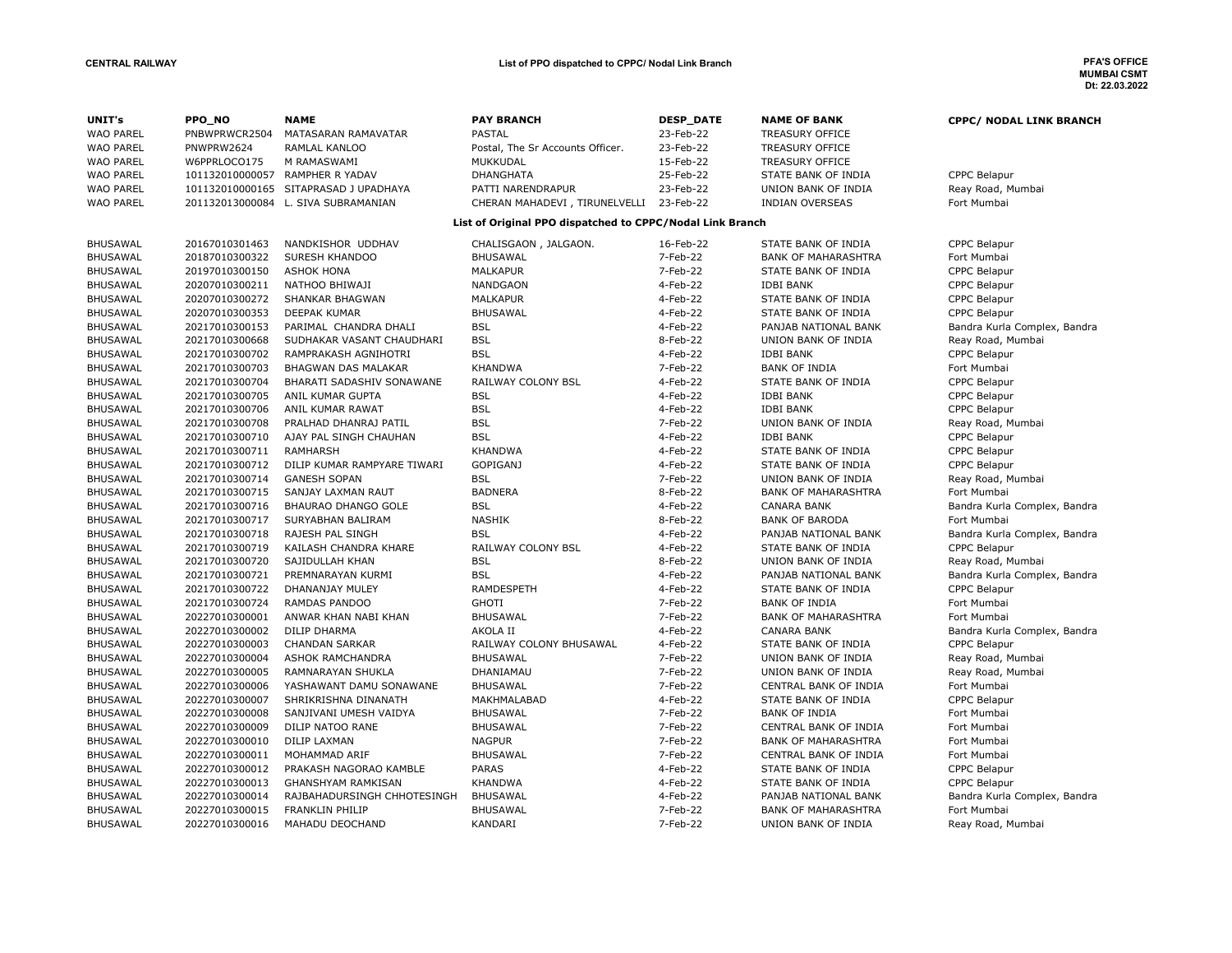| UNIT's           | PPO_NO          | <b>NAME</b>                         | <b>PAY BRANCH</b>                                         | <b>DESP_DATE</b> | <b>NAME OF BANK</b>        | <b>CPPC/ NODAL LINK BRANCH</b> |
|------------------|-----------------|-------------------------------------|-----------------------------------------------------------|------------------|----------------------------|--------------------------------|
| <b>WAO PAREL</b> | PNBWPRWCR2504   | MATASARAN RAMAVATAR                 | PASTAL                                                    | 23-Feb-22        | <b>TREASURY OFFICE</b>     |                                |
| <b>WAO PAREL</b> | PNWPRW2624      | RAMLAL KANLOO                       | Postal, The Sr Accounts Officer.                          | 23-Feb-22        | <b>TREASURY OFFICE</b>     |                                |
| <b>WAO PAREL</b> | W6PPRLOCO175    | M RAMASWAMI                         | MUKKUDAL                                                  | 15-Feb-22        | <b>TREASURY OFFICE</b>     |                                |
| <b>WAO PAREL</b> |                 | 101132010000057 RAMPHER R YADAV     | <b>DHANGHATA</b>                                          | 25-Feb-22        | STATE BANK OF INDIA        | CPPC Belapur                   |
| <b>WAO PAREL</b> | 101132010000165 | SITAPRASAD J UPADHAYA               | PATTI NARENDRAPUR                                         | 23-Feb-22        | UNION BANK OF INDIA        | Reay Road, Mumbai              |
| <b>WAO PAREL</b> |                 | 201132013000084 L. SIVA SUBRAMANIAN | CHERAN MAHADEVI, TIRUNELVELLI 23-Feb-22                   |                  | <b>INDIAN OVERSEAS</b>     | Fort Mumbai                    |
|                  |                 |                                     | List of Original PPO dispatched to CPPC/Nodal Link Branch |                  |                            |                                |
|                  |                 |                                     |                                                           |                  |                            |                                |
| <b>BHUSAWAL</b>  | 20167010301463  | NANDKISHOR UDDHAV                   | CHALISGAON, JALGAON.                                      | 16-Feb-22        | STATE BANK OF INDIA        | CPPC Belapur                   |
| <b>BHUSAWAL</b>  | 20187010300322  | SURESH KHANDOO                      | <b>BHUSAWAL</b>                                           | 7-Feb-22         | <b>BANK OF MAHARASHTRA</b> | Fort Mumbai                    |
| <b>BHUSAWAL</b>  | 20197010300150  | <b>ASHOK HONA</b>                   | <b>MALKAPUR</b>                                           | 7-Feb-22         | STATE BANK OF INDIA        | <b>CPPC Belapur</b>            |
| <b>BHUSAWAL</b>  | 20207010300211  | NATHOO BHIWAJI                      | <b>NANDGAON</b>                                           | 4-Feb-22         | <b>IDBI BANK</b>           | <b>CPPC Belapur</b>            |
| <b>BHUSAWAL</b>  | 20207010300272  | SHANKAR BHAGWAN                     | <b>MALKAPUR</b>                                           | 4-Feb-22         | STATE BANK OF INDIA        | CPPC Belapur                   |
| <b>BHUSAWAL</b>  | 20207010300353  | DEEPAK KUMAR                        | <b>BHUSAWAL</b>                                           | 4-Feb-22         | STATE BANK OF INDIA        | <b>CPPC Belapur</b>            |
| <b>BHUSAWAL</b>  | 20217010300153  | PARIMAL CHANDRA DHALI               | <b>BSL</b>                                                | 4-Feb-22         | PANJAB NATIONAL BANK       | Bandra Kurla Complex, Bandra   |
| <b>BHUSAWAL</b>  | 20217010300668  | SUDHAKAR VASANT CHAUDHARI           | <b>BSL</b>                                                | 8-Feb-22         | UNION BANK OF INDIA        | Reay Road, Mumbai              |
| <b>BHUSAWAL</b>  | 20217010300702  | RAMPRAKASH AGNIHOTRI                | <b>BSL</b>                                                | 4-Feb-22         | <b>IDBI BANK</b>           | <b>CPPC Belapur</b>            |
| <b>BHUSAWAL</b>  | 20217010300703  | BHAGWAN DAS MALAKAR                 | <b>KHANDWA</b>                                            | 7-Feb-22         | <b>BANK OF INDIA</b>       | Fort Mumbai                    |
| <b>BHUSAWAL</b>  | 20217010300704  | BHARATI SADASHIV SONAWANE           | RAILWAY COLONY BSL                                        | 4-Feb-22         | STATE BANK OF INDIA        | CPPC Belapur                   |
| <b>BHUSAWAL</b>  | 20217010300705  | ANIL KUMAR GUPTA                    | <b>BSL</b>                                                | 4-Feb-22         | <b>IDBI BANK</b>           | CPPC Belapur                   |
| <b>BHUSAWAL</b>  | 20217010300706  | ANIL KUMAR RAWAT                    | <b>BSL</b>                                                | 4-Feb-22         | <b>IDBI BANK</b>           | CPPC Belapur                   |
| <b>BHUSAWAL</b>  | 20217010300708  | PRALHAD DHANRAJ PATIL               | <b>BSL</b>                                                | 7-Feb-22         | UNION BANK OF INDIA        | Reay Road, Mumbai              |
| <b>BHUSAWAL</b>  | 20217010300710  | AJAY PAL SINGH CHAUHAN              | <b>BSL</b>                                                | 4-Feb-22         | <b>IDBI BANK</b>           | CPPC Belapur                   |
| <b>BHUSAWAL</b>  | 20217010300711  | <b>RAMHARSH</b>                     | <b>KHANDWA</b>                                            | 4-Feb-22         | STATE BANK OF INDIA        | CPPC Belapur                   |
| <b>BHUSAWAL</b>  | 20217010300712  | DILIP KUMAR RAMPYARE TIWARI         | <b>GOPIGANJ</b>                                           | 4-Feb-22         | STATE BANK OF INDIA        | <b>CPPC Belapur</b>            |
| <b>BHUSAWAL</b>  | 20217010300714  | <b>GANESH SOPAN</b>                 | <b>BSL</b>                                                | 7-Feb-22         | UNION BANK OF INDIA        | Reay Road, Mumbai              |
| <b>BHUSAWAL</b>  | 20217010300715  | SANJAY LAXMAN RAUT                  | <b>BADNERA</b>                                            | 8-Feb-22         | <b>BANK OF MAHARASHTRA</b> | Fort Mumbai                    |
| <b>BHUSAWAL</b>  | 20217010300716  | BHAURAO DHANGO GOLE                 | <b>BSL</b>                                                | 4-Feb-22         | <b>CANARA BANK</b>         | Bandra Kurla Complex, Bandra   |
| <b>BHUSAWAL</b>  | 20217010300717  | SURYABHAN BALIRAM                   | <b>NASHIK</b>                                             | 8-Feb-22         | <b>BANK OF BARODA</b>      | Fort Mumbai                    |
| <b>BHUSAWAL</b>  | 20217010300718  | RAJESH PAL SINGH                    | <b>BSL</b>                                                | 4-Feb-22         | PANJAB NATIONAL BANK       | Bandra Kurla Complex, Bandra   |
| <b>BHUSAWAL</b>  | 20217010300719  | KAILASH CHANDRA KHARE               | RAILWAY COLONY BSL                                        | 4-Feb-22         | STATE BANK OF INDIA        | CPPC Belapur                   |
| <b>BHUSAWAL</b>  | 20217010300720  | SAJIDULLAH KHAN                     | <b>BSL</b>                                                | 8-Feb-22         | UNION BANK OF INDIA        | Reay Road, Mumbai              |
| <b>BHUSAWAL</b>  | 20217010300721  | PREMNARAYAN KURMI                   | <b>BSL</b>                                                | 4-Feb-22         | PANJAB NATIONAL BANK       | Bandra Kurla Complex, Bandra   |
| <b>BHUSAWAL</b>  | 20217010300722  | <b>DHANANJAY MULEY</b>              | <b>RAMDESPETH</b>                                         | 4-Feb-22         | STATE BANK OF INDIA        | <b>CPPC Belapur</b>            |
| <b>BHUSAWAL</b>  | 20217010300724  | <b>RAMDAS PANDOO</b>                | <b>GHOTI</b>                                              | 7-Feb-22         | <b>BANK OF INDIA</b>       | Fort Mumbai                    |
| <b>BHUSAWAL</b>  | 20227010300001  | ANWAR KHAN NABI KHAN                | <b>BHUSAWAL</b>                                           | 7-Feb-22         | <b>BANK OF MAHARASHTRA</b> | Fort Mumbai                    |
| <b>BHUSAWAL</b>  | 20227010300002  | DILIP DHARMA                        | AKOLA II                                                  | 4-Feb-22         | <b>CANARA BANK</b>         | Bandra Kurla Complex, Bandra   |
| <b>BHUSAWAL</b>  | 20227010300003  | <b>CHANDAN SARKAR</b>               | RAILWAY COLONY BHUSAWAL                                   | 4-Feb-22         | STATE BANK OF INDIA        | <b>CPPC Belapur</b>            |
| <b>BHUSAWAL</b>  | 20227010300004  | ASHOK RAMCHANDRA                    | <b>BHUSAWAL</b>                                           | 7-Feb-22         | UNION BANK OF INDIA        | Reay Road, Mumbai              |
| <b>BHUSAWAL</b>  | 20227010300005  | RAMNARAYAN SHUKLA                   | DHANIAMAU                                                 | 7-Feb-22         | UNION BANK OF INDIA        | Reay Road, Mumbai              |
| <b>BHUSAWAL</b>  | 20227010300006  | YASHAWANT DAMU SONAWANE             | <b>BHUSAWAL</b>                                           | 7-Feb-22         | CENTRAL BANK OF INDIA      | Fort Mumbai                    |
| <b>BHUSAWAL</b>  | 20227010300007  | SHRIKRISHNA DINANATH                | MAKHMALABAD                                               | 4-Feb-22         | STATE BANK OF INDIA        | CPPC Belapur                   |
| <b>BHUSAWAL</b>  | 20227010300008  | SANJIVANI UMESH VAIDYA              | <b>BHUSAWAL</b>                                           | 7-Feb-22         | <b>BANK OF INDIA</b>       | Fort Mumbai                    |
| <b>BHUSAWAL</b>  | 20227010300009  | DILIP NATOO RANE                    | <b>BHUSAWAL</b>                                           | 7-Feb-22         | CENTRAL BANK OF INDIA      | Fort Mumbai                    |
| <b>BHUSAWAL</b>  | 20227010300010  | DILIP LAXMAN                        | <b>NAGPUR</b>                                             | 7-Feb-22         | <b>BANK OF MAHARASHTRA</b> | Fort Mumbai                    |
| <b>BHUSAWAL</b>  | 20227010300011  | MOHAMMAD ARIF                       | <b>BHUSAWAL</b>                                           | 7-Feb-22         | CENTRAL BANK OF INDIA      | Fort Mumbai                    |
| <b>BHUSAWAL</b>  | 20227010300012  | PRAKASH NAGORAO KAMBLE              | <b>PARAS</b>                                              | 4-Feb-22         | STATE BANK OF INDIA        | CPPC Belapur                   |
| <b>BHUSAWAL</b>  | 20227010300013  | <b>GHANSHYAM RAMKISAN</b>           | <b>KHANDWA</b>                                            | 4-Feb-22         | STATE BANK OF INDIA        | <b>CPPC Belapur</b>            |
| <b>BHUSAWAL</b>  | 20227010300014  | RAJBAHADURSINGH CHHOTESINGH         | <b>BHUSAWAL</b>                                           | 4-Feb-22         | PANJAB NATIONAL BANK       | Bandra Kurla Complex, Bandra   |
| <b>BHUSAWAL</b>  | 20227010300015  | FRANKLIN PHILIP                     | <b>BHUSAWAL</b>                                           | 7-Feb-22         | <b>BANK OF MAHARASHTRA</b> | Fort Mumbai                    |
| <b>BHUSAWAL</b>  | 20227010300016  | MAHADU DEOCHAND                     | KANDARI                                                   | 7-Feb-22         | UNION BANK OF INDIA        | Reay Road, Mumbai              |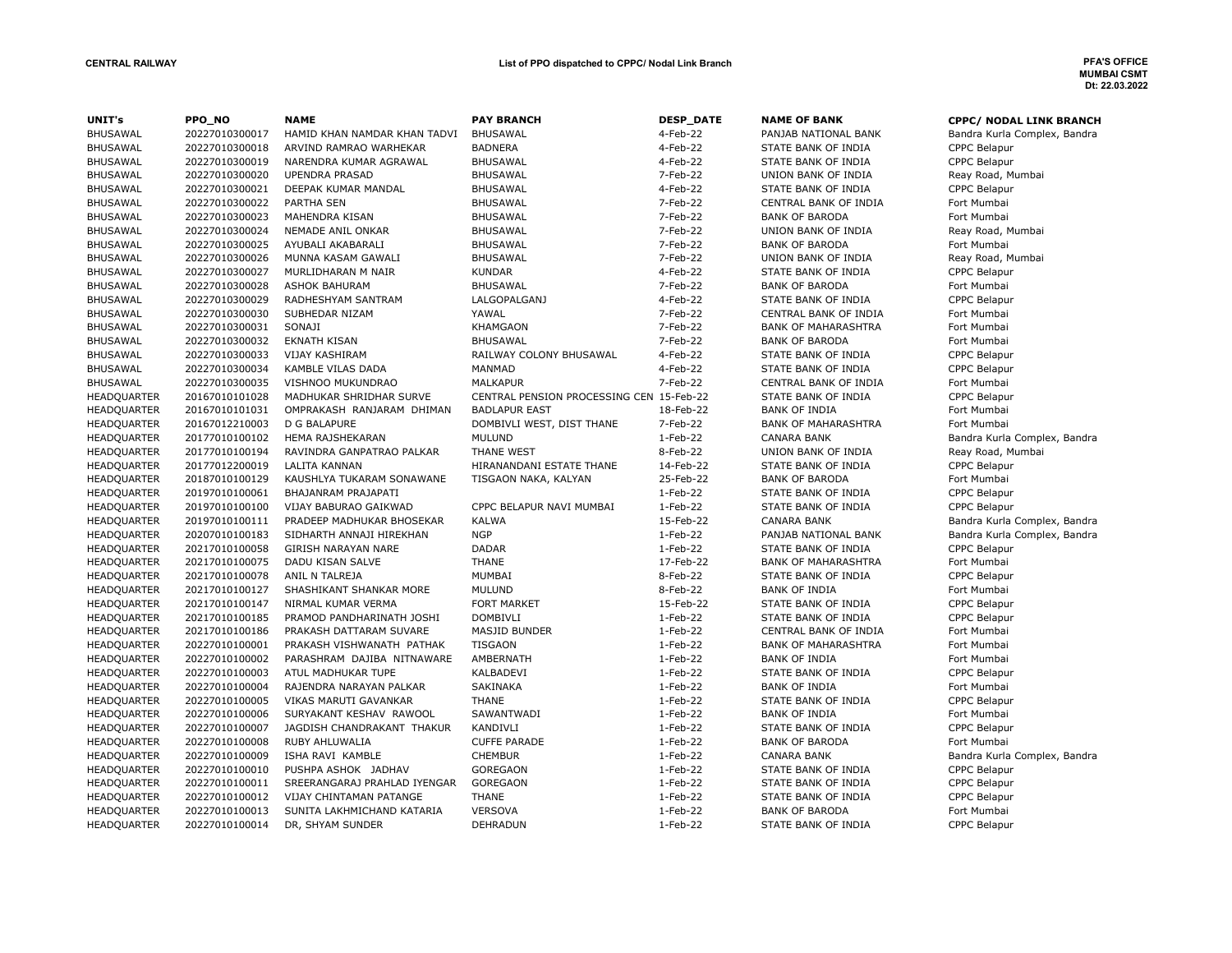| UNIT's             | PPO NO         | <b>NAME</b>                  | <b>PAY BRANCH</b>                        | <b>DESP DATE</b> | <b>NAME OF BANK</b>        | <b>CPPC/ NODAL LINK BRANCH</b> |
|--------------------|----------------|------------------------------|------------------------------------------|------------------|----------------------------|--------------------------------|
| BHUSAWAL           | 20227010300017 | HAMID KHAN NAMDAR KHAN TADVI | <b>BHUSAWAL</b>                          | 4-Feb-22         | PANJAB NATIONAL BANK       | Bandra Kurla Complex, Bandra   |
| <b>BHUSAWAL</b>    | 20227010300018 | ARVIND RAMRAO WARHEKAR       | <b>BADNERA</b>                           | 4-Feb-22         | STATE BANK OF INDIA        | CPPC Belapur                   |
| <b>BHUSAWAL</b>    | 20227010300019 | NARENDRA KUMAR AGRAWAL       | <b>BHUSAWAL</b>                          | 4-Feb-22         | STATE BANK OF INDIA        | <b>CPPC Belapur</b>            |
| <b>BHUSAWAL</b>    | 20227010300020 | <b>UPENDRA PRASAD</b>        | <b>BHUSAWAL</b>                          | 7-Feb-22         | UNION BANK OF INDIA        | Reay Road, Mumbai              |
| <b>BHUSAWAL</b>    | 20227010300021 | DEEPAK KUMAR MANDAL          | <b>BHUSAWAL</b>                          | 4-Feb-22         | STATE BANK OF INDIA        | CPPC Belapur                   |
| <b>BHUSAWAL</b>    | 20227010300022 | PARTHA SEN                   | <b>BHUSAWAL</b>                          | 7-Feb-22         | CENTRAL BANK OF INDIA      | Fort Mumbai                    |
| <b>BHUSAWAL</b>    | 20227010300023 | MAHENDRA KISAN               | <b>BHUSAWAL</b>                          | 7-Feb-22         | <b>BANK OF BARODA</b>      | Fort Mumbai                    |
| <b>BHUSAWAL</b>    | 20227010300024 | NEMADE ANIL ONKAR            | <b>BHUSAWAL</b>                          | 7-Feb-22         | UNION BANK OF INDIA        | Reay Road, Mumbai              |
| <b>BHUSAWAL</b>    | 20227010300025 | AYUBALI AKABARALI            | <b>BHUSAWAL</b>                          | 7-Feb-22         | <b>BANK OF BARODA</b>      | Fort Mumbai                    |
| <b>BHUSAWAL</b>    | 20227010300026 | MUNNA KASAM GAWALI           | <b>BHUSAWAL</b>                          | 7-Feb-22         | UNION BANK OF INDIA        | Reay Road, Mumbai              |
| <b>BHUSAWAL</b>    | 20227010300027 | MURLIDHARAN M NAIR           | <b>KUNDAR</b>                            | 4-Feb-22         | STATE BANK OF INDIA        | <b>CPPC Belapur</b>            |
| <b>BHUSAWAL</b>    | 20227010300028 | <b>ASHOK BAHURAM</b>         | <b>BHUSAWAL</b>                          | 7-Feb-22         | <b>BANK OF BARODA</b>      | Fort Mumbai                    |
| <b>BHUSAWAL</b>    | 20227010300029 | RADHESHYAM SANTRAM           | LALGOPALGANJ                             | 4-Feb-22         | STATE BANK OF INDIA        | <b>CPPC Belapur</b>            |
| <b>BHUSAWAL</b>    | 20227010300030 | SUBHEDAR NIZAM               | YAWAL                                    | 7-Feb-22         | CENTRAL BANK OF INDIA      | Fort Mumbai                    |
| <b>BHUSAWAL</b>    | 20227010300031 | SONAJI                       | KHAMGAON                                 | 7-Feb-22         | <b>BANK OF MAHARASHTRA</b> | Fort Mumbai                    |
| <b>BHUSAWAL</b>    | 20227010300032 | <b>EKNATH KISAN</b>          | <b>BHUSAWAL</b>                          | 7-Feb-22         | <b>BANK OF BARODA</b>      | Fort Mumbai                    |
| <b>BHUSAWAL</b>    | 20227010300033 | <b>VIJAY KASHIRAM</b>        | RAILWAY COLONY BHUSAWAL                  | 4-Feb-22         | STATE BANK OF INDIA        | <b>CPPC Belapur</b>            |
| <b>BHUSAWAL</b>    | 20227010300034 | KAMBLE VILAS DADA            | <b>MANMAD</b>                            | 4-Feb-22         | STATE BANK OF INDIA        | <b>CPPC Belapur</b>            |
| <b>BHUSAWAL</b>    | 20227010300035 | VISHNOO MUKUNDRAO            | <b>MALKAPUR</b>                          | 7-Feb-22         | CENTRAL BANK OF INDIA      | Fort Mumbai                    |
| <b>HEADQUARTER</b> | 20167010101028 | MADHUKAR SHRIDHAR SURVE      | CENTRAL PENSION PROCESSING CEN 15-Feb-22 |                  | STATE BANK OF INDIA        | <b>CPPC Belapur</b>            |
| HEADQUARTER        | 20167010101031 | OMPRAKASH RANJARAM DHIMAN    | <b>BADLAPUR EAST</b>                     | 18-Feb-22        | <b>BANK OF INDIA</b>       | Fort Mumbai                    |
| <b>HEADQUARTER</b> | 20167012210003 | D G BALAPURE                 | DOMBIVLI WEST, DIST THANE                | 7-Feb-22         | <b>BANK OF MAHARASHTRA</b> | Fort Mumbai                    |
| HEADQUARTER        | 20177010100102 | HEMA RAJSHEKARAN             | <b>MULUND</b>                            | $1-Feb-22$       | <b>CANARA BANK</b>         | Bandra Kurla Complex, Bandra   |
| <b>HEADQUARTER</b> | 20177010100194 | RAVINDRA GANPATRAO PALKAR    | THANE WEST                               | 8-Feb-22         | UNION BANK OF INDIA        | Reay Road, Mumbai              |
| <b>HEADQUARTER</b> | 20177012200019 | <b>LALITA KANNAN</b>         | HIRANANDANI ESTATE THANE                 | 14-Feb-22        | STATE BANK OF INDIA        | <b>CPPC Belapur</b>            |
| HEADQUARTER        | 20187010100129 | KAUSHLYA TUKARAM SONAWANE    | TISGAON NAKA, KALYAN                     | 25-Feb-22        | <b>BANK OF BARODA</b>      | Fort Mumbai                    |
| <b>HEADQUARTER</b> | 20197010100061 | BHAJANRAM PRAJAPATI          |                                          | $1-Feb-22$       | STATE BANK OF INDIA        | <b>CPPC Belapur</b>            |
| HEADQUARTER        | 20197010100100 | VIJAY BABURAO GAIKWAD        | CPPC BELAPUR NAVI MUMBAI                 | 1-Feb-22         | STATE BANK OF INDIA        | <b>CPPC Belapur</b>            |
| HEADQUARTER        | 20197010100111 | PRADEEP MADHUKAR BHOSEKAR    | <b>KALWA</b>                             | 15-Feb-22        | <b>CANARA BANK</b>         | Bandra Kurla Complex, Bandra   |
| HEADQUARTER        | 20207010100183 | SIDHARTH ANNAJI HIREKHAN     | <b>NGP</b>                               | 1-Feb-22         | PANJAB NATIONAL BANK       | Bandra Kurla Complex, Bandra   |
| <b>HEADQUARTER</b> | 20217010100058 | GIRISH NARAYAN NARE          | <b>DADAR</b>                             | 1-Feb-22         | STATE BANK OF INDIA        | <b>CPPC Belapur</b>            |
| HEADQUARTER        | 20217010100075 | DADU KISAN SALVE             | <b>THANE</b>                             | 17-Feb-22        | <b>BANK OF MAHARASHTRA</b> | Fort Mumbai                    |
| HEADQUARTER        | 20217010100078 | ANIL N TALREJA               | MUMBAI                                   | 8-Feb-22         | STATE BANK OF INDIA        | CPPC Belapur                   |
| HEADQUARTER        | 20217010100127 | SHASHIKANT SHANKAR MORE      | <b>MULUND</b>                            | 8-Feb-22         | <b>BANK OF INDIA</b>       | Fort Mumbai                    |
| HEADQUARTER        | 20217010100147 | NIRMAL KUMAR VERMA           | <b>FORT MARKET</b>                       | 15-Feb-22        | STATE BANK OF INDIA        | <b>CPPC Belapur</b>            |
| HEADQUARTER        | 20217010100185 | PRAMOD PANDHARINATH JOSHI    | <b>DOMBIVLI</b>                          | $1-Feb-22$       | STATE BANK OF INDIA        | CPPC Belapur                   |
| HEADQUARTER        | 20217010100186 | PRAKASH DATTARAM SUVARE      | <b>MASJID BUNDER</b>                     | 1-Feb-22         | CENTRAL BANK OF INDIA      | Fort Mumbai                    |
| <b>HEADQUARTER</b> | 20227010100001 | PRAKASH VISHWANATH PATHAK    | <b>TISGAON</b>                           | 1-Feb-22         | <b>BANK OF MAHARASHTRA</b> | Fort Mumbai                    |
| <b>HEADQUARTER</b> | 20227010100002 | PARASHRAM DAJIBA NITNAWARE   | AMBERNATH                                | $1-Feb-22$       | <b>BANK OF INDIA</b>       | Fort Mumbai                    |
| HEADQUARTER        | 20227010100003 | ATUL MADHUKAR TUPE           | KALBADEVI                                | 1-Feb-22         | STATE BANK OF INDIA        | <b>CPPC Belapur</b>            |
| <b>HEADQUARTER</b> | 20227010100004 | RAJENDRA NARAYAN PALKAR      | <b>SAKINAKA</b>                          | $1-Feb-22$       | <b>BANK OF INDIA</b>       | Fort Mumbai                    |
| <b>HEADQUARTER</b> | 20227010100005 | VIKAS MARUTI GAVANKAR        | <b>THANE</b>                             | $1-Feb-22$       | STATE BANK OF INDIA        | <b>CPPC Belapur</b>            |
| HEADQUARTER        | 20227010100006 | SURYAKANT KESHAV RAWOOL      | SAWANTWADI                               | $1-Feb-22$       | <b>BANK OF INDIA</b>       | Fort Mumbai                    |
| <b>HEADQUARTER</b> | 20227010100007 | JAGDISH CHANDRAKANT THAKUR   | <b>KANDIVLI</b>                          | 1-Feb-22         | STATE BANK OF INDIA        | <b>CPPC Belapur</b>            |
| <b>HEADQUARTER</b> | 20227010100008 | RUBY AHLUWALIA               | <b>CUFFE PARADE</b>                      | 1-Feb-22         | <b>BANK OF BARODA</b>      | Fort Mumbai                    |
| HEADQUARTER        | 20227010100009 | ISHA RAVI KAMBLE             | <b>CHEMBUR</b>                           | 1-Feb-22         | <b>CANARA BANK</b>         | Bandra Kurla Complex, Bandra   |
| HEADQUARTER        | 20227010100010 | PUSHPA ASHOK JADHAV          | GOREGAON                                 | 1-Feb-22         | STATE BANK OF INDIA        | CPPC Belapur                   |
| <b>HEADQUARTER</b> | 20227010100011 | SREERANGARAJ PRAHLAD IYENGAR | <b>GOREGAON</b>                          | 1-Feb-22         | STATE BANK OF INDIA        | <b>CPPC Belapur</b>            |
| HEADQUARTER        | 20227010100012 | VIJAY CHINTAMAN PATANGE      | <b>THANE</b>                             | 1-Feb-22         | STATE BANK OF INDIA        | <b>CPPC Belapur</b>            |
| HEADQUARTER        | 20227010100013 | SUNITA LAKHMICHAND KATARIA   | <b>VERSOVA</b>                           | $1-Feb-22$       | <b>BANK OF BARODA</b>      | Fort Mumbai                    |
| <b>HEADQUARTER</b> | 20227010100014 | DR, SHYAM SUNDER             | <b>DEHRADUN</b>                          | 1-Feb-22         | STATE BANK OF INDIA        | <b>CPPC Belapur</b>            |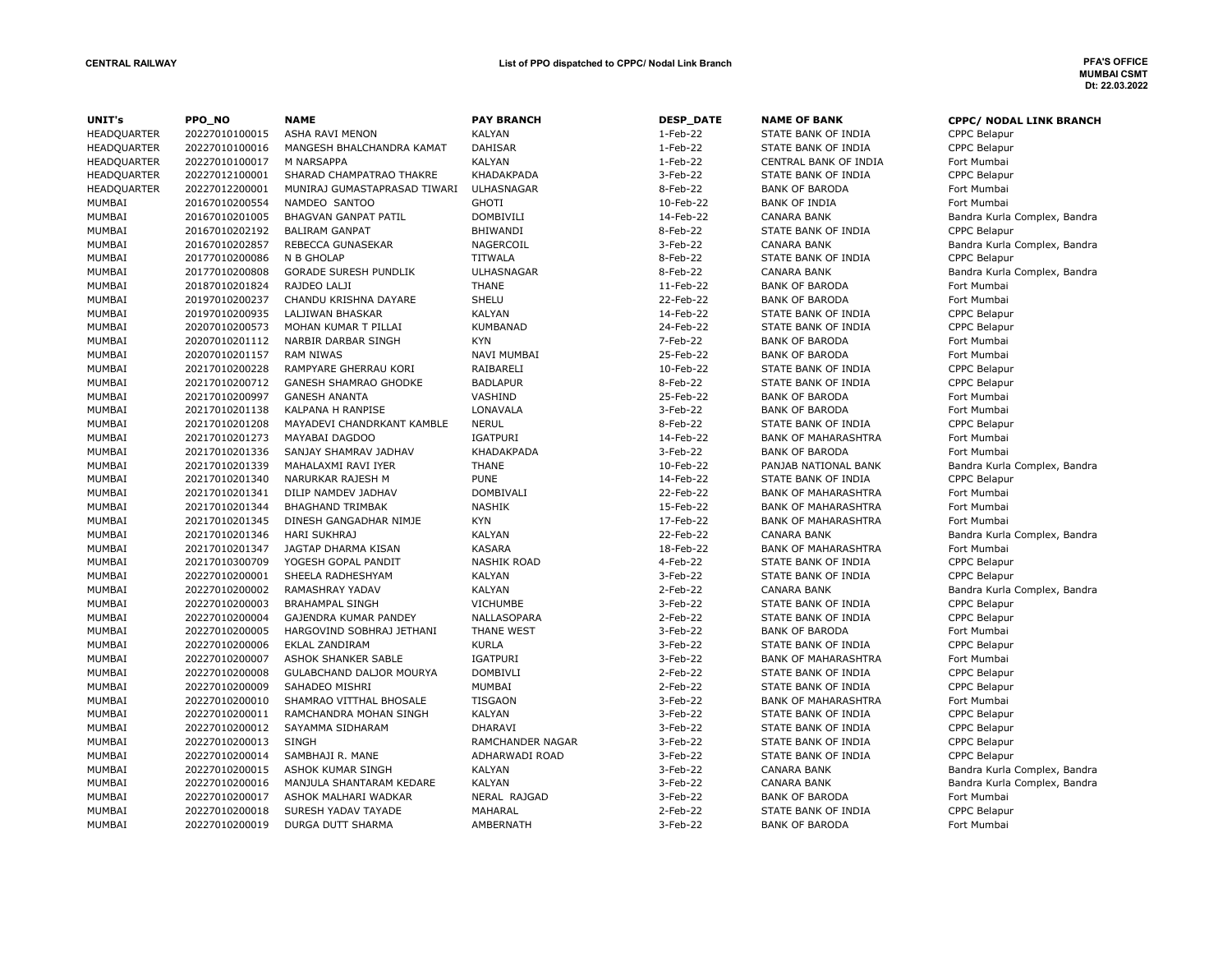| UNIT's             | PPO_NO         | <b>NAME</b>                  | <b>PAY BRANCH</b>  | <b>DESP_DATE</b> | <b>NAME OF BANK</b>        | <b>CPPC/ NODAL LINK BRANCH</b> |
|--------------------|----------------|------------------------------|--------------------|------------------|----------------------------|--------------------------------|
| HEADQUARTER        | 20227010100015 | <b>ASHA RAVI MENON</b>       | <b>KALYAN</b>      | 1-Feb-22         | STATE BANK OF INDIA        | <b>CPPC Belapur</b>            |
| <b>HEADQUARTER</b> | 20227010100016 | MANGESH BHALCHANDRA KAMAT    | <b>DAHISAR</b>     | $1-Feb-22$       | STATE BANK OF INDIA        | CPPC Belapur                   |
| <b>HEADQUARTER</b> | 20227010100017 | M NARSAPPA                   | <b>KALYAN</b>      | 1-Feb-22         | CENTRAL BANK OF INDIA      | Fort Mumbai                    |
| HEADQUARTER        | 20227012100001 | SHARAD CHAMPATRAO THAKRE     | KHADAKPADA         | 3-Feb-22         | STATE BANK OF INDIA        | <b>CPPC Belapur</b>            |
| <b>HEADQUARTER</b> | 20227012200001 | MUNIRAJ GUMASTAPRASAD TIWARI | ULHASNAGAR         | 8-Feb-22         | <b>BANK OF BARODA</b>      | Fort Mumbai                    |
| MUMBAI             | 20167010200554 | NAMDEO SANTOO                | <b>GHOTI</b>       | 10-Feb-22        | <b>BANK OF INDIA</b>       | Fort Mumbai                    |
| MUMBAI             | 20167010201005 | <b>BHAGVAN GANPAT PATIL</b>  | <b>DOMBIVILI</b>   | 14-Feb-22        | <b>CANARA BANK</b>         | Bandra Kurla Complex, Bandra   |
| MUMBAI             | 20167010202192 | <b>BALIRAM GANPAT</b>        | BHIWANDI           | 8-Feb-22         | STATE BANK OF INDIA        | <b>CPPC Belapur</b>            |
| MUMBAI             | 20167010202857 | REBECCA GUNASEKAR            | NAGERCOIL          | 3-Feb-22         | <b>CANARA BANK</b>         | Bandra Kurla Complex, Bandra   |
| MUMBAI             | 20177010200086 | N B GHOLAP                   | <b>TITWALA</b>     | 8-Feb-22         | STATE BANK OF INDIA        | <b>CPPC Belapur</b>            |
| MUMBAI             | 20177010200808 | <b>GORADE SURESH PUNDLIK</b> | <b>ULHASNAGAR</b>  | 8-Feb-22         | <b>CANARA BANK</b>         | Bandra Kurla Complex, Bandra   |
| MUMBAI             | 20187010201824 | RAJDEO LALJI                 | <b>THANE</b>       | 11-Feb-22        | <b>BANK OF BARODA</b>      | Fort Mumbai                    |
| MUMBAI             | 20197010200237 | CHANDU KRISHNA DAYARE        | SHELU              | 22-Feb-22        | <b>BANK OF BARODA</b>      | Fort Mumbai                    |
| MUMBAI             | 20197010200935 | LALJIWAN BHASKAR             | <b>KALYAN</b>      | 14-Feb-22        | STATE BANK OF INDIA        | <b>CPPC Belapur</b>            |
| MUMBAI             | 20207010200573 | MOHAN KUMAR T PILLAI         | <b>KUMBANAD</b>    | 24-Feb-22        | STATE BANK OF INDIA        | <b>CPPC Belapur</b>            |
| MUMBAI             | 20207010201112 | NARBIR DARBAR SINGH          | <b>KYN</b>         | 7-Feb-22         | <b>BANK OF BARODA</b>      | Fort Mumbai                    |
| MUMBAI             | 20207010201157 | <b>RAM NIWAS</b>             | NAVI MUMBAI        | 25-Feb-22        | <b>BANK OF BARODA</b>      | Fort Mumbai                    |
| MUMBAI             | 20217010200228 | RAMPYARE GHERRAU KORI        | RAIBARELI          | 10-Feb-22        | STATE BANK OF INDIA        | <b>CPPC Belapur</b>            |
| MUMBAI             | 20217010200712 | <b>GANESH SHAMRAO GHODKE</b> | <b>BADLAPUR</b>    | 8-Feb-22         | STATE BANK OF INDIA        | <b>CPPC Belapur</b>            |
| MUMBAI             | 20217010200997 | <b>GANESH ANANTA</b>         | VASHIND            | 25-Feb-22        | <b>BANK OF BARODA</b>      | Fort Mumbai                    |
| MUMBAI             | 20217010201138 | KALPANA H RANPISE            | LONAVALA           | 3-Feb-22         | <b>BANK OF BARODA</b>      | Fort Mumbai                    |
| MUMBAI             | 20217010201208 | MAYADEVI CHANDRKANT KAMBLE   | <b>NERUL</b>       | 8-Feb-22         | STATE BANK OF INDIA        | <b>CPPC Belapur</b>            |
| MUMBAI             | 20217010201273 | MAYABAI DAGDOO               | <b>IGATPURI</b>    | 14-Feb-22        | <b>BANK OF MAHARASHTRA</b> | Fort Mumbai                    |
| MUMBAI             | 20217010201336 | SANJAY SHAMRAV JADHAV        | KHADAKPADA         | 3-Feb-22         | <b>BANK OF BARODA</b>      | Fort Mumbai                    |
| MUMBAI             | 20217010201339 | MAHALAXMI RAVI IYER          | <b>THANE</b>       | 10-Feb-22        | PANJAB NATIONAL BANK       | Bandra Kurla Complex, Bandra   |
| MUMBAI             | 20217010201340 | NARURKAR RAJESH M            | <b>PUNE</b>        | 14-Feb-22        | STATE BANK OF INDIA        | <b>CPPC Belapur</b>            |
| MUMBAI             | 20217010201341 | DILIP NAMDEV JADHAV          | DOMBIVALI          | 22-Feb-22        | <b>BANK OF MAHARASHTRA</b> | Fort Mumbai                    |
| MUMBAI             | 20217010201344 | <b>BHAGHAND TRIMBAK</b>      | <b>NASHIK</b>      | 15-Feb-22        | <b>BANK OF MAHARASHTRA</b> | Fort Mumbai                    |
| MUMBAI             | 20217010201345 | DINESH GANGADHAR NIMJE       | <b>KYN</b>         | 17-Feb-22        | <b>BANK OF MAHARASHTRA</b> | Fort Mumbai                    |
| MUMBAI             | 20217010201346 | <b>HARI SUKHRAJ</b>          | <b>KALYAN</b>      | 22-Feb-22        | <b>CANARA BANK</b>         | Bandra Kurla Complex, Bandra   |
| MUMBAI             | 20217010201347 | JAGTAP DHARMA KISAN          | <b>KASARA</b>      | 18-Feb-22        | <b>BANK OF MAHARASHTRA</b> | Fort Mumbai                    |
| MUMBAI             | 20217010300709 | YOGESH GOPAL PANDIT          | <b>NASHIK ROAD</b> | 4-Feb-22         | STATE BANK OF INDIA        | <b>CPPC Belapur</b>            |
| MUMBAI             | 20227010200001 | SHEELA RADHESHYAM            | <b>KALYAN</b>      | $3-Feb-22$       | STATE BANK OF INDIA        | CPPC Belapur                   |
| MUMBAI             | 20227010200002 | RAMASHRAY YADAV              | <b>KALYAN</b>      | 2-Feb-22         | <b>CANARA BANK</b>         | Bandra Kurla Complex, Bandra   |
| MUMBAI             | 20227010200003 | <b>BRAHAMPAL SINGH</b>       | <b>VICHUMBE</b>    | 3-Feb-22         | STATE BANK OF INDIA        | <b>CPPC Belapur</b>            |
| MUMBAI             | 20227010200004 | GAJENDRA KUMAR PANDEY        | NALLASOPARA        | $2$ -Feb-22      | STATE BANK OF INDIA        | <b>CPPC Belapur</b>            |
| MUMBAI             | 20227010200005 | HARGOVIND SOBHRAJ JETHANI    | THANE WEST         | 3-Feb-22         | <b>BANK OF BARODA</b>      | Fort Mumbai                    |
| MUMBAI             | 20227010200006 | <b>EKLAL ZANDIRAM</b>        | <b>KURLA</b>       | 3-Feb-22         | STATE BANK OF INDIA        | <b>CPPC Belapur</b>            |
| MUMBAI             | 20227010200007 | ASHOK SHANKER SABLE          | IGATPURI           | 3-Feb-22         | <b>BANK OF MAHARASHTRA</b> | Fort Mumbai                    |
| MUMBAI             | 20227010200008 | GULABCHAND DALJOR MOURYA     | <b>DOMBIVLI</b>    | 2-Feb-22         | STATE BANK OF INDIA        | <b>CPPC Belapur</b>            |
| MUMBAI             | 20227010200009 | SAHADEO MISHRI               | MUMBAI             | $2$ -Feb-22      | STATE BANK OF INDIA        | <b>CPPC Belapur</b>            |
| MUMBAI             | 20227010200010 | SHAMRAO VITTHAL BHOSALE      | <b>TISGAON</b>     | 3-Feb-22         | <b>BANK OF MAHARASHTRA</b> | Fort Mumbai                    |
| MUMBAI             | 20227010200011 | RAMCHANDRA MOHAN SINGH       | <b>KALYAN</b>      | 3-Feb-22         | STATE BANK OF INDIA        | <b>CPPC Belapur</b>            |
| MUMBAI             | 20227010200012 | SAYAMMA SIDHARAM             | <b>DHARAVI</b>     | 3-Feb-22         | STATE BANK OF INDIA        | <b>CPPC Belapur</b>            |
| MUMBAI             | 20227010200013 | <b>SINGH</b>                 | RAMCHANDER NAGAR   | 3-Feb-22         | STATE BANK OF INDIA        | <b>CPPC Belapur</b>            |
| MUMBAI             | 20227010200014 | SAMBHAJI R. MANE             | ADHARWADI ROAD     | 3-Feb-22         | STATE BANK OF INDIA        | <b>CPPC Belapur</b>            |
| MUMBAI             | 20227010200015 | ASHOK KUMAR SINGH            | <b>KALYAN</b>      | 3-Feb-22         | <b>CANARA BANK</b>         | Bandra Kurla Complex, Bandra   |
| MUMBAI             | 20227010200016 | MANJULA SHANTARAM KEDARE     | <b>KALYAN</b>      | 3-Feb-22         | <b>CANARA BANK</b>         | Bandra Kurla Complex, Bandra   |
| MUMBAI             | 20227010200017 | ASHOK MALHARI WADKAR         | NERAL RAJGAD       | 3-Feb-22         | <b>BANK OF BARODA</b>      | Fort Mumbai                    |
| MUMBAI             | 20227010200018 | SURESH YADAV TAYADE          | MAHARAL            | 2-Feb-22         | STATE BANK OF INDIA        | <b>CPPC Belapur</b>            |
| MUMBAI             | 20227010200019 | DURGA DUTT SHARMA            | AMBERNATH          | 3-Feb-22         | <b>BANK OF BARODA</b>      | Fort Mumbai                    |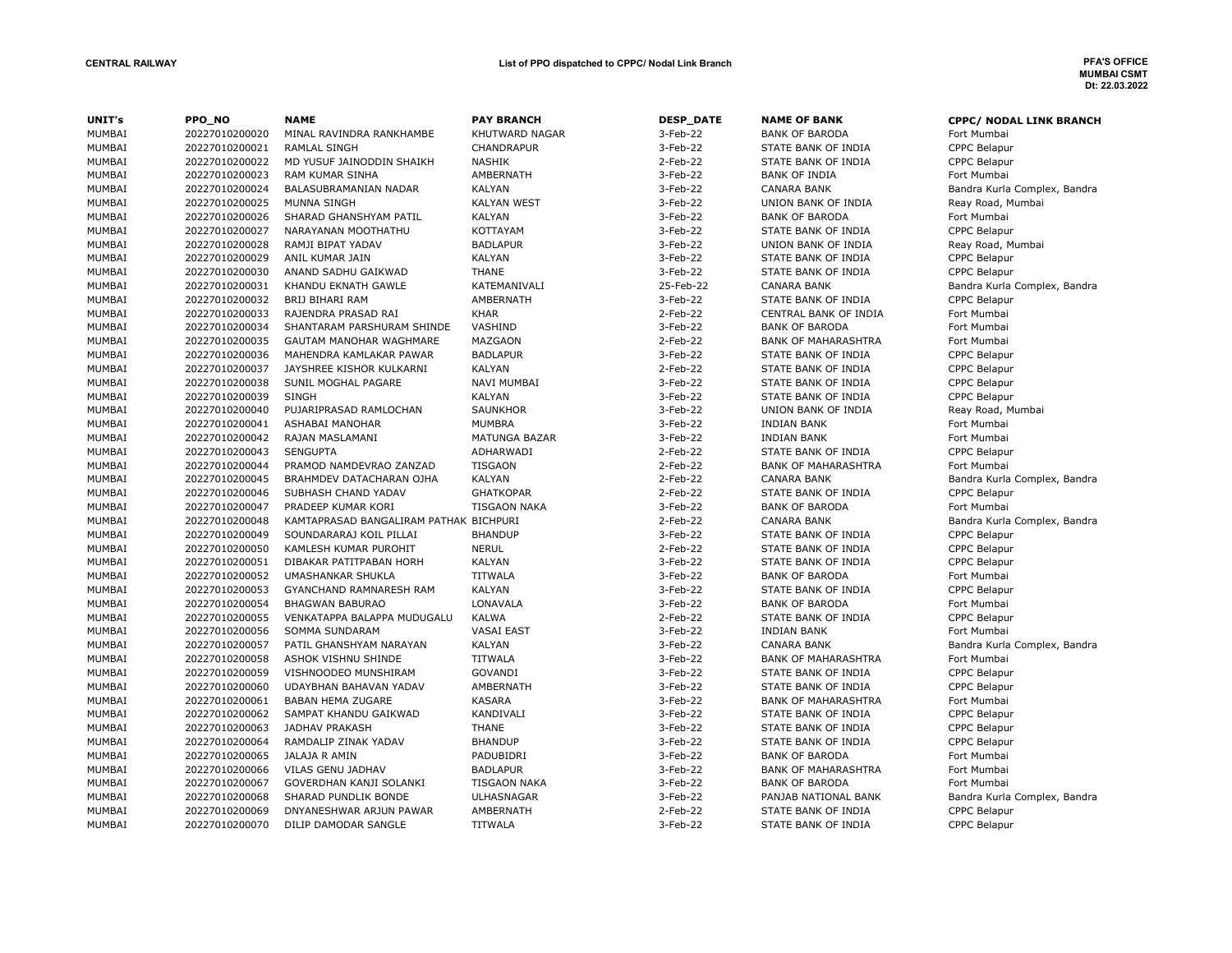# MUMBAI CSMT Dt: 22.03.2022

| UNIT's | PPO NO         | <b>NAME</b>                            | <b>PAY BRANCH</b>   | <b>DESP_DATE</b> | <b>NAME OF BANK</b>        | <b>CPPC/ NODAL LINK BRANCH</b> |
|--------|----------------|----------------------------------------|---------------------|------------------|----------------------------|--------------------------------|
| MUMBAI | 20227010200020 | MINAL RAVINDRA RANKHAMBE               | KHUTWARD NAGAR      | 3-Feb-22         | <b>BANK OF BARODA</b>      | Fort Mumbai                    |
| MUMBAI | 20227010200021 | <b>RAMLAL SINGH</b>                    | CHANDRAPUR          | 3-Feb-22         | STATE BANK OF INDIA        | CPPC Belapur                   |
| MUMBAI | 20227010200022 | MD YUSUF JAINODDIN SHAIKH              | <b>NASHIK</b>       | 2-Feb-22         | STATE BANK OF INDIA        | CPPC Belapur                   |
| MUMBAI | 20227010200023 | <b>RAM KUMAR SINHA</b>                 | AMBERNATH           | 3-Feb-22         | <b>BANK OF INDIA</b>       | Fort Mumbai                    |
| MUMBAI | 20227010200024 | BALASUBRAMANIAN NADAR                  | <b>KALYAN</b>       | 3-Feb-22         | <b>CANARA BANK</b>         | Bandra Kurla Complex, Bandra   |
| MUMBAI | 20227010200025 | MUNNA SINGH                            | <b>KALYAN WEST</b>  | 3-Feb-22         | UNION BANK OF INDIA        | Reay Road, Mumbai              |
| MUMBAI | 20227010200026 | SHARAD GHANSHYAM PATIL                 | <b>KALYAN</b>       | 3-Feb-22         | <b>BANK OF BARODA</b>      | Fort Mumbai                    |
| MUMBAI | 20227010200027 | NARAYANAN MOOTHATHU                    | KOTTAYAM            | 3-Feb-22         | STATE BANK OF INDIA        | CPPC Belapur                   |
| MUMBAI | 20227010200028 | RAMJI BIPAT YADAV                      | <b>BADLAPUR</b>     | 3-Feb-22         | UNION BANK OF INDIA        | Reay Road, Mumbai              |
| MUMBAI | 20227010200029 | ANIL KUMAR JAIN                        | <b>KALYAN</b>       | 3-Feb-22         | STATE BANK OF INDIA        | CPPC Belapur                   |
| MUMBAI | 20227010200030 | ANAND SADHU GAIKWAD                    | <b>THANE</b>        | 3-Feb-22         | STATE BANK OF INDIA        | CPPC Belapur                   |
| MUMBAI | 20227010200031 | KHANDU EKNATH GAWLE                    | KATEMANIVALI        | 25-Feb-22        | <b>CANARA BANK</b>         | Bandra Kurla Complex, Bandra   |
| MUMBAI | 20227010200032 | BRIJ BIHARI RAM                        | AMBERNATH           | 3-Feb-22         | STATE BANK OF INDIA        | CPPC Belapur                   |
| MUMBAI | 20227010200033 | RAJENDRA PRASAD RAI                    | <b>KHAR</b>         | 2-Feb-22         | CENTRAL BANK OF INDIA      | Fort Mumbai                    |
| MUMBAI | 20227010200034 | SHANTARAM PARSHURAM SHINDE             | VASHIND             | 3-Feb-22         | <b>BANK OF BARODA</b>      | Fort Mumbai                    |
| MUMBAI | 20227010200035 | GAUTAM MANOHAR WAGHMARE                | MAZGAON             | 2-Feb-22         | <b>BANK OF MAHARASHTRA</b> | Fort Mumbai                    |
| MUMBAI | 20227010200036 | MAHENDRA KAMLAKAR PAWAR                | <b>BADLAPUR</b>     | 3-Feb-22         | STATE BANK OF INDIA        | CPPC Belapur                   |
| MUMBAI | 20227010200037 | JAYSHREE KISHOR KULKARNI               | <b>KALYAN</b>       | 2-Feb-22         | STATE BANK OF INDIA        | CPPC Belapur                   |
| MUMBAI | 20227010200038 | SUNIL MOGHAL PAGARE                    | NAVI MUMBAI         | 3-Feb-22         | STATE BANK OF INDIA        | CPPC Belapur                   |
| MUMBAI | 20227010200039 | <b>SINGH</b>                           | <b>KALYAN</b>       | 3-Feb-22         | STATE BANK OF INDIA        | CPPC Belapur                   |
| MUMBAI | 20227010200040 | PUJARIPRASAD RAMLOCHAN                 | <b>SAUNKHOR</b>     | 3-Feb-22         | UNION BANK OF INDIA        | Reay Road, Mumbai              |
| MUMBAI | 20227010200041 | ASHABAI MANOHAR                        | <b>MUMBRA</b>       | 3-Feb-22         | <b>INDIAN BANK</b>         | Fort Mumbai                    |
| MUMBAI | 20227010200042 | RAJAN MASLAMANI                        | MATUNGA BAZAR       | 3-Feb-22         | <b>INDIAN BANK</b>         | Fort Mumbai                    |
| MUMBAI | 20227010200043 | <b>SENGUPTA</b>                        | ADHARWADI           | 2-Feb-22         | STATE BANK OF INDIA        | CPPC Belapur                   |
| MUMBAI | 20227010200044 | PRAMOD NAMDEVRAO ZANZAD                | <b>TISGAON</b>      | 2-Feb-22         | <b>BANK OF MAHARASHTRA</b> | Fort Mumbai                    |
| MUMBAI | 20227010200045 | BRAHMDEV DATACHARAN OJHA               | <b>KALYAN</b>       | 2-Feb-22         | <b>CANARA BANK</b>         | Bandra Kurla Complex, Bandra   |
| MUMBAI | 20227010200046 | SUBHASH CHAND YADAV                    | <b>GHATKOPAR</b>    | 2-Feb-22         | STATE BANK OF INDIA        | <b>CPPC Belapur</b>            |
| MUMBAI | 20227010200047 | PRADEEP KUMAR KORI                     | <b>TISGAON NAKA</b> | 3-Feb-22         | <b>BANK OF BARODA</b>      | Fort Mumbai                    |
| MUMBAI | 20227010200048 | KAMTAPRASAD BANGALIRAM PATHAK BICHPURI |                     | 2-Feb-22         | <b>CANARA BANK</b>         | Bandra Kurla Complex, Bandra   |
| MUMBAI | 20227010200049 | SOUNDARARAJ KOIL PILLAI                | <b>BHANDUP</b>      | 3-Feb-22         | STATE BANK OF INDIA        | CPPC Belapur                   |
| MUMBAI | 20227010200050 | KAMLESH KUMAR PUROHIT                  | <b>NERUL</b>        | 2-Feb-22         | STATE BANK OF INDIA        | CPPC Belapur                   |
| MUMBAI | 20227010200051 | DIBAKAR PATITPABAN HORH                | <b>KALYAN</b>       | 3-Feb-22         | STATE BANK OF INDIA        | <b>CPPC Belapur</b>            |
| MUMBAI | 20227010200052 | UMASHANKAR SHUKLA                      | <b>TITWALA</b>      | 3-Feb-22         | <b>BANK OF BARODA</b>      | Fort Mumbai                    |
| MUMBAI | 20227010200053 | GYANCHAND RAMNARESH RAM                | <b>KALYAN</b>       | 3-Feb-22         | STATE BANK OF INDIA        | CPPC Belapur                   |
| MUMBAI | 20227010200054 | <b>BHAGWAN BABURAO</b>                 | LONAVALA            | 3-Feb-22         | <b>BANK OF BARODA</b>      | Fort Mumbai                    |
| MUMBAI | 20227010200055 | VENKATAPPA BALAPPA MUDUGALU            | <b>KALWA</b>        | 2-Feb-22         | STATE BANK OF INDIA        | <b>CPPC Belapur</b>            |
| MUMBAI | 20227010200056 | SOMMA SUNDARAM                         | <b>VASAI EAST</b>   | 3-Feb-22         | <b>INDIAN BANK</b>         | Fort Mumbai                    |
| MUMBAI | 20227010200057 | PATIL GHANSHYAM NARAYAN                | <b>KALYAN</b>       | 3-Feb-22         | <b>CANARA BANK</b>         | Bandra Kurla Complex, Bandra   |
| MUMBAI | 20227010200058 | ASHOK VISHNU SHINDE                    | <b>TITWALA</b>      | 3-Feb-22         | <b>BANK OF MAHARASHTRA</b> | Fort Mumbai                    |
| MUMBAI | 20227010200059 | VISHNOODEO MUNSHIRAM                   | GOVANDI             | 3-Feb-22         | STATE BANK OF INDIA        | CPPC Belapur                   |
| MUMBAI | 20227010200060 | UDAYBHAN BAHAVAN YADAV                 | <b>AMBERNATH</b>    | 3-Feb-22         | STATE BANK OF INDIA        | CPPC Belapur                   |
| MUMBAI | 20227010200061 | <b>BABAN HEMA ZUGARE</b>               | <b>KASARA</b>       | 3-Feb-22         | <b>BANK OF MAHARASHTRA</b> | Fort Mumbai                    |
| MUMBAI | 20227010200062 | SAMPAT KHANDU GAIKWAD                  | KANDIVALI           | 3-Feb-22         | STATE BANK OF INDIA        | <b>CPPC Belapur</b>            |
| MUMBAI | 20227010200063 | JADHAV PRAKASH                         | <b>THANE</b>        | 3-Feb-22         | STATE BANK OF INDIA        | <b>CPPC Belapur</b>            |
| MUMBAI | 20227010200064 | RAMDALIP ZINAK YADAV                   | <b>BHANDUP</b>      | 3-Feb-22         | STATE BANK OF INDIA        | <b>CPPC Belapur</b>            |
| MUMBAI | 20227010200065 | JALAJA R AMIN                          | PADUBIDRI           | 3-Feb-22         | <b>BANK OF BARODA</b>      | Fort Mumbai                    |
| MUMBAI | 20227010200066 | VILAS GENU JADHAV                      | <b>BADLAPUR</b>     | 3-Feb-22         | <b>BANK OF MAHARASHTRA</b> | Fort Mumbai                    |
| MUMBAI | 20227010200067 | GOVERDHAN KANJI SOLANKI                | <b>TISGAON NAKA</b> | 3-Feb-22         | <b>BANK OF BARODA</b>      | Fort Mumbai                    |
| MUMBAI | 20227010200068 | SHARAD PUNDLIK BONDE                   | <b>ULHASNAGAR</b>   | 3-Feb-22         | PANJAB NATIONAL BANK       | Bandra Kurla Complex, Bandra   |
| MUMBAI | 20227010200069 | DNYANESHWAR ARJUN PAWAR                | AMBERNATH           | 2-Feb-22         | STATE BANK OF INDIA        | CPPC Belapur                   |
| MUMBAI | 20227010200070 | DILIP DAMODAR SANGLE                   | <b>TITWALA</b>      | 3-Feb-22         | STATE BANK OF INDIA        | CPPC Belapur                   |
|        |                |                                        |                     |                  |                            |                                |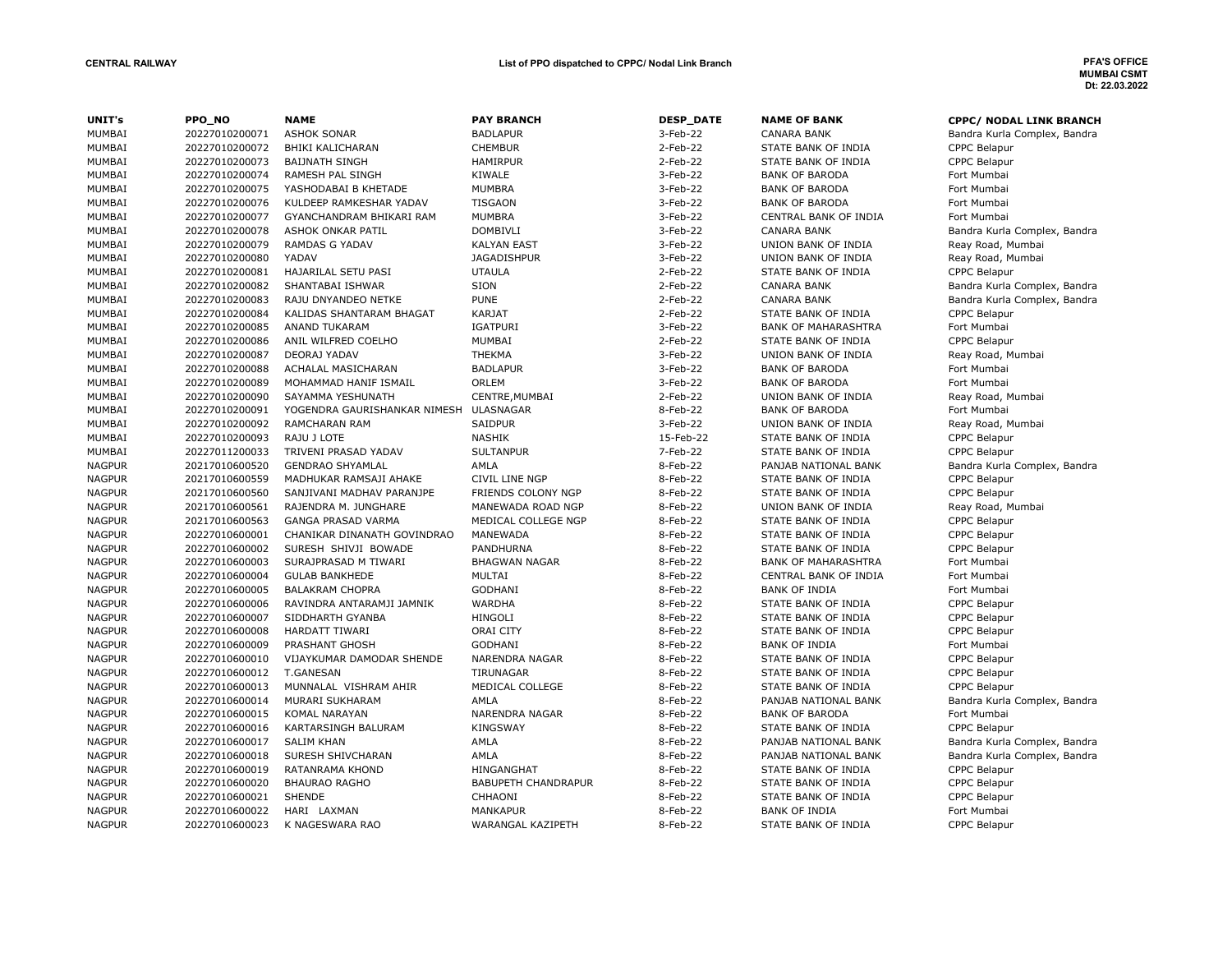| UNIT's        | PPO_NO         | <b>NAME</b>                  | <b>PAY BRANCH</b>          | <b>DESP_DATE</b> | <b>NAME OF BANK</b>        | <b>CPPC/ NODAL LINK BRANCH</b> |
|---------------|----------------|------------------------------|----------------------------|------------------|----------------------------|--------------------------------|
| MUMBAI        | 20227010200071 | <b>ASHOK SONAR</b>           | <b>BADLAPUR</b>            | 3-Feb-22         | <b>CANARA BANK</b>         | Bandra Kurla Complex, Bandra   |
| MUMBAI        | 20227010200072 | BHIKI KALICHARAN             | <b>CHEMBUR</b>             | 2-Feb-22         | STATE BANK OF INDIA        | CPPC Belapur                   |
| MUMBAI        | 20227010200073 | <b>BAIJNATH SINGH</b>        | <b>HAMIRPUR</b>            | 2-Feb-22         | STATE BANK OF INDIA        | <b>CPPC Belapur</b>            |
| MUMBAI        | 20227010200074 | RAMESH PAL SINGH             | KIWALE                     | 3-Feb-22         | <b>BANK OF BARODA</b>      | Fort Mumbai                    |
| MUMBAI        | 20227010200075 | YASHODABAI B KHETADE         | <b>MUMBRA</b>              | 3-Feb-22         | <b>BANK OF BARODA</b>      | Fort Mumbai                    |
| MUMBAI        | 20227010200076 | KULDEEP RAMKESHAR YADAV      | <b>TISGAON</b>             | 3-Feb-22         | <b>BANK OF BARODA</b>      | Fort Mumbai                    |
| MUMBAI        | 20227010200077 | GYANCHANDRAM BHIKARI RAM     | <b>MUMBRA</b>              | 3-Feb-22         | CENTRAL BANK OF INDIA      | Fort Mumbai                    |
| MUMBAI        | 20227010200078 | ASHOK ONKAR PATIL            | <b>DOMBIVLI</b>            | 3-Feb-22         | <b>CANARA BANK</b>         | Bandra Kurla Complex, Bandra   |
| MUMBAI        | 20227010200079 | <b>RAMDAS G YADAV</b>        | <b>KALYAN EAST</b>         | 3-Feb-22         | UNION BANK OF INDIA        | Reay Road, Mumbai              |
| MUMBAI        | 20227010200080 | YADAV                        | <b>JAGADISHPUR</b>         | 3-Feb-22         | UNION BANK OF INDIA        | Reay Road, Mumbai              |
| MUMBAI        | 20227010200081 | HAJARILAL SETU PASI          | <b>UTAULA</b>              | 2-Feb-22         | STATE BANK OF INDIA        | CPPC Belapur                   |
| MUMBAI        | 20227010200082 | SHANTABAI ISHWAR             | SION                       | 2-Feb-22         | <b>CANARA BANK</b>         | Bandra Kurla Complex, Bandra   |
| MUMBAI        | 20227010200083 | RAJU DNYANDEO NETKE          | <b>PUNE</b>                | 2-Feb-22         | <b>CANARA BANK</b>         | Bandra Kurla Complex, Bandra   |
| MUMBAI        | 20227010200084 | KALIDAS SHANTARAM BHAGAT     | <b>KARJAT</b>              | 2-Feb-22         | STATE BANK OF INDIA        | CPPC Belapur                   |
| MUMBAI        | 20227010200085 | <b>ANAND TUKARAM</b>         | <b>IGATPURI</b>            | 3-Feb-22         | <b>BANK OF MAHARASHTRA</b> | Fort Mumbai                    |
| MUMBAI        | 20227010200086 | ANIL WILFRED COELHO          | MUMBAI                     | 2-Feb-22         | STATE BANK OF INDIA        | CPPC Belapur                   |
| MUMBAI        | 20227010200087 | DEORAJ YADAV                 | <b>THEKMA</b>              | 3-Feb-22         | UNION BANK OF INDIA        | Reay Road, Mumbai              |
| MUMBAI        | 20227010200088 | ACHALAL MASICHARAN           | <b>BADLAPUR</b>            | 3-Feb-22         | <b>BANK OF BARODA</b>      | Fort Mumbai                    |
| MUMBAI        | 20227010200089 | MOHAMMAD HANIF ISMAIL        | ORLEM                      | 3-Feb-22         | <b>BANK OF BARODA</b>      | Fort Mumbai                    |
| MUMBAI        | 20227010200090 | SAYAMMA YESHUNATH            | CENTRE, MUMBAI             | 2-Feb-22         | UNION BANK OF INDIA        | Reay Road, Mumbai              |
| MUMBAI        | 20227010200091 | YOGENDRA GAURISHANKAR NIMESH | ULASNAGAR                  | 8-Feb-22         | <b>BANK OF BARODA</b>      | Fort Mumbai                    |
| MUMBAI        | 20227010200092 | <b>RAMCHARAN RAM</b>         | <b>SAIDPUR</b>             | 3-Feb-22         | UNION BANK OF INDIA        | Reay Road, Mumbai              |
| MUMBAI        | 20227010200093 | RAJU J LOTE                  | <b>NASHIK</b>              | 15-Feb-22        | STATE BANK OF INDIA        | CPPC Belapur                   |
| MUMBAI        | 20227011200033 | TRIVENI PRASAD YADAV         | <b>SULTANPUR</b>           | 7-Feb-22         | STATE BANK OF INDIA        | <b>CPPC Belapur</b>            |
| <b>NAGPUR</b> | 20217010600520 | <b>GENDRAO SHYAMLAL</b>      | AMLA                       | 8-Feb-22         | PANJAB NATIONAL BANK       | Bandra Kurla Complex, Bandra   |
| <b>NAGPUR</b> | 20217010600559 | MADHUKAR RAMSAJI AHAKE       | CIVIL LINE NGP             | 8-Feb-22         | STATE BANK OF INDIA        | CPPC Belapur                   |
| <b>NAGPUR</b> | 20217010600560 | SANJIVANI MADHAV PARANJPE    | FRIENDS COLONY NGP         | 8-Feb-22         | STATE BANK OF INDIA        | CPPC Belapur                   |
| <b>NAGPUR</b> | 20217010600561 | RAJENDRA M. JUNGHARE         | MANEWADA ROAD NGP          | 8-Feb-22         | UNION BANK OF INDIA        | Reay Road, Mumbai              |
| <b>NAGPUR</b> | 20217010600563 | <b>GANGA PRASAD VARMA</b>    | MEDICAL COLLEGE NGP        | 8-Feb-22         | STATE BANK OF INDIA        | CPPC Belapur                   |
| <b>NAGPUR</b> | 20227010600001 | CHANIKAR DINANATH GOVINDRAO  | MANEWADA                   | 8-Feb-22         | STATE BANK OF INDIA        | <b>CPPC Belapur</b>            |
| <b>NAGPUR</b> | 20227010600002 | SURESH SHIVJI BOWADE         | PANDHURNA                  | 8-Feb-22         | STATE BANK OF INDIA        | CPPC Belapur                   |
| <b>NAGPUR</b> | 20227010600003 | SURAJPRASAD M TIWARI         | <b>BHAGWAN NAGAR</b>       | 8-Feb-22         | <b>BANK OF MAHARASHTRA</b> | Fort Mumbai                    |
| <b>NAGPUR</b> | 20227010600004 | <b>GULAB BANKHEDE</b>        | MULTAI                     | 8-Feb-22         | CENTRAL BANK OF INDIA      | Fort Mumbai                    |
| <b>NAGPUR</b> | 20227010600005 | <b>BALAKRAM CHOPRA</b>       | <b>GODHANI</b>             | 8-Feb-22         | <b>BANK OF INDIA</b>       | Fort Mumbai                    |
| <b>NAGPUR</b> | 20227010600006 | RAVINDRA ANTARAMJI JAMNIK    | <b>WARDHA</b>              | 8-Feb-22         | STATE BANK OF INDIA        | CPPC Belapur                   |
| <b>NAGPUR</b> | 20227010600007 | SIDDHARTH GYANBA             | <b>HINGOLI</b>             | 8-Feb-22         | STATE BANK OF INDIA        | <b>CPPC Belapur</b>            |
| <b>NAGPUR</b> | 20227010600008 | HARDATT TIWARI               | ORAI CITY                  | 8-Feb-22         | STATE BANK OF INDIA        | <b>CPPC Belapur</b>            |
| <b>NAGPUR</b> | 20227010600009 | PRASHANT GHOSH               | <b>GODHANI</b>             | 8-Feb-22         | <b>BANK OF INDIA</b>       | Fort Mumbai                    |
| <b>NAGPUR</b> | 20227010600010 | VIJAYKUMAR DAMODAR SHENDE    | <b>NARENDRA NAGAR</b>      | 8-Feb-22         | STATE BANK OF INDIA        | <b>CPPC Belapur</b>            |
| <b>NAGPUR</b> | 20227010600012 | <b>T.GANESAN</b>             | <b>TIRUNAGAR</b>           | 8-Feb-22         | STATE BANK OF INDIA        | <b>CPPC Belapur</b>            |
| <b>NAGPUR</b> | 20227010600013 | MUNNALAL VISHRAM AHIR        | MEDICAL COLLEGE            | 8-Feb-22         | STATE BANK OF INDIA        | CPPC Belapur                   |
| <b>NAGPUR</b> | 20227010600014 | MURARI SUKHARAM              | AMLA                       | 8-Feb-22         | PANJAB NATIONAL BANK       | Bandra Kurla Complex, Bandra   |
| <b>NAGPUR</b> | 20227010600015 | <b>KOMAL NARAYAN</b>         | NARENDRA NAGAR             | 8-Feb-22         | <b>BANK OF BARODA</b>      | Fort Mumbai                    |
| <b>NAGPUR</b> | 20227010600016 | KARTARSINGH BALURAM          | <b>KINGSWAY</b>            | 8-Feb-22         | STATE BANK OF INDIA        | <b>CPPC Belapur</b>            |
| <b>NAGPUR</b> | 20227010600017 | <b>SALIM KHAN</b>            | AMLA                       | 8-Feb-22         | PANJAB NATIONAL BANK       | Bandra Kurla Complex, Bandra   |
| <b>NAGPUR</b> | 20227010600018 | SURESH SHIVCHARAN            | AMLA                       | 8-Feb-22         | PANJAB NATIONAL BANK       | Bandra Kurla Complex, Bandra   |
| <b>NAGPUR</b> | 20227010600019 | RATANRAMA KHOND              | HINGANGHAT                 | 8-Feb-22         | STATE BANK OF INDIA        | CPPC Belapur                   |
| <b>NAGPUR</b> | 20227010600020 | <b>BHAURAO RAGHO</b>         | <b>BABUPETH CHANDRAPUR</b> | 8-Feb-22         | STATE BANK OF INDIA        | <b>CPPC Belapur</b>            |
| <b>NAGPUR</b> | 20227010600021 | SHENDE                       | CHHAONI                    | 8-Feb-22         | STATE BANK OF INDIA        | CPPC Belapur                   |
| <b>NAGPUR</b> | 20227010600022 | HARI LAXMAN                  | <b>MANKAPUR</b>            | 8-Feb-22         | <b>BANK OF INDIA</b>       | Fort Mumbai                    |
| <b>NAGPUR</b> | 20227010600023 | K NAGESWARA RAO              | WARANGAL KAZIPETH          | 8-Feb-22         | STATE BANK OF INDIA        | <b>CPPC Belapur</b>            |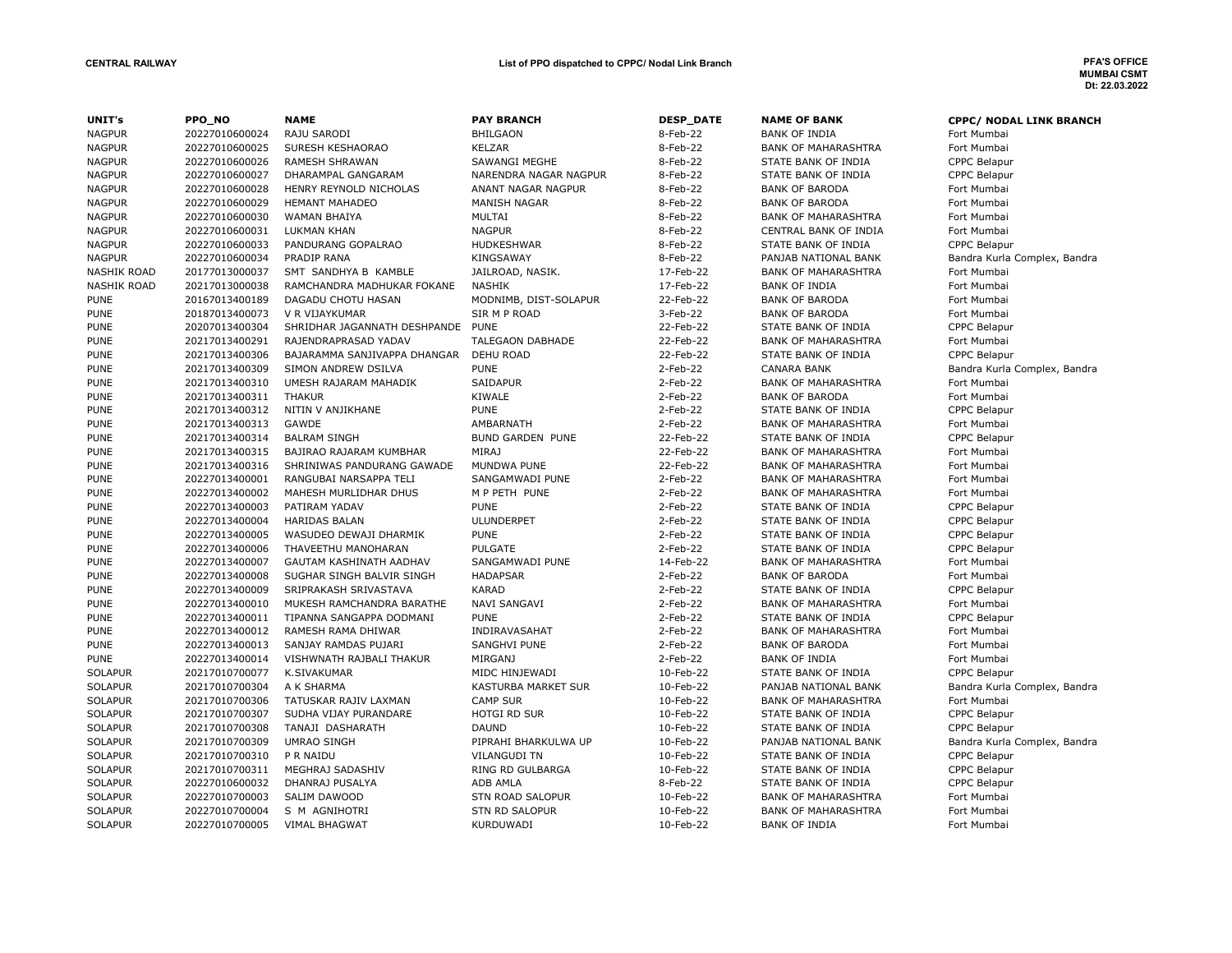| UNIT's                     | PPO NO                           | <b>NAME</b>                                         | <b>PAY BRANCH</b>                       | <b>DESP_DATE</b>     | <b>NAME OF BANK</b>                       |                                               |
|----------------------------|----------------------------------|-----------------------------------------------------|-----------------------------------------|----------------------|-------------------------------------------|-----------------------------------------------|
| <b>NAGPUR</b>              | 20227010600024                   | RAJU SARODI                                         | <b>BHILGAON</b>                         | 8-Feb-22             | <b>BANK OF INDIA</b>                      | <b>CPPC/ NODAL LINK BRANCH</b><br>Fort Mumbai |
| <b>NAGPUR</b>              | 20227010600025                   | SURESH KESHAORAO                                    | <b>KELZAR</b>                           | 8-Feb-22             | <b>BANK OF MAHARASHTRA</b>                | Fort Mumbai                                   |
| <b>NAGPUR</b>              | 20227010600026                   | RAMESH SHRAWAN                                      | SAWANGI MEGHE                           | 8-Feb-22             | STATE BANK OF INDIA                       | CPPC Belapur                                  |
| <b>NAGPUR</b>              | 20227010600027                   | DHARAMPAL GANGARAM                                  | NARENDRA NAGAR NAGPUR                   | 8-Feb-22             | STATE BANK OF INDIA                       | <b>CPPC Belapur</b>                           |
| <b>NAGPUR</b>              | 20227010600028                   | HENRY REYNOLD NICHOLAS                              | ANANT NAGAR NAGPUR                      | 8-Feb-22             | <b>BANK OF BARODA</b>                     | Fort Mumbai                                   |
| <b>NAGPUR</b>              | 20227010600029                   | <b>HEMANT MAHADEO</b>                               | <b>MANISH NAGAR</b>                     | 8-Feb-22             | <b>BANK OF BARODA</b>                     | Fort Mumbai                                   |
| <b>NAGPUR</b>              | 20227010600030                   | <b>WAMAN BHAIYA</b>                                 | MULTAI                                  | 8-Feb-22             | <b>BANK OF MAHARASHTRA</b>                | Fort Mumbai                                   |
| <b>NAGPUR</b>              | 20227010600031                   | <b>LUKMAN KHAN</b>                                  | <b>NAGPUR</b>                           | 8-Feb-22             | CENTRAL BANK OF INDIA                     | Fort Mumbai                                   |
| <b>NAGPUR</b>              | 20227010600033                   | PANDURANG GOPALRAO                                  | HUDKESHWAR                              | 8-Feb-22             | STATE BANK OF INDIA                       | CPPC Belapur                                  |
| <b>NAGPUR</b>              | 20227010600034                   | PRADIP RANA                                         | KINGSAWAY                               | 8-Feb-22             | PANJAB NATIONAL BANK                      | Bandra Kurla Complex, Bandra                  |
| <b>NASHIK ROAD</b>         | 20177013000037                   | SMT SANDHYA B KAMBLE                                | JAILROAD, NASIK.                        | 17-Feb-22            | <b>BANK OF MAHARASHTRA</b>                | Fort Mumbai                                   |
| <b>NASHIK ROAD</b>         | 20217013000038                   | RAMCHANDRA MADHUKAR FOKANE                          | <b>NASHIK</b>                           | 17-Feb-22            | <b>BANK OF INDIA</b>                      | Fort Mumbai                                   |
| <b>PUNE</b>                | 20167013400189                   | DAGADU CHOTU HASAN                                  | MODNIMB, DIST-SOLAPUR                   | 22-Feb-22            | <b>BANK OF BARODA</b>                     | Fort Mumbai                                   |
| <b>PUNE</b>                | 20187013400073                   | V R VIJAYKUMAR                                      | SIR M P ROAD                            | 3-Feb-22             | <b>BANK OF BARODA</b>                     | Fort Mumbai                                   |
| <b>PUNE</b>                | 20207013400304                   | SHRIDHAR JAGANNATH DESHPANDE                        | PUNE                                    | 22-Feb-22            | STATE BANK OF INDIA                       | <b>CPPC Belapur</b>                           |
| <b>PUNE</b>                | 20217013400291                   | RAJENDRAPRASAD YADAV                                | TALEGAON DABHADE                        | 22-Feb-22            | <b>BANK OF MAHARASHTRA</b>                | Fort Mumbai                                   |
|                            |                                  |                                                     | <b>DEHU ROAD</b>                        | 22-Feb-22            |                                           |                                               |
| <b>PUNE</b><br><b>PUNE</b> | 20217013400306<br>20217013400309 | BAJARAMMA SANJIVAPPA DHANGAR<br>SIMON ANDREW DSILVA | <b>PUNE</b>                             | 2-Feb-22             | STATE BANK OF INDIA<br><b>CANARA BANK</b> | <b>CPPC Belapur</b>                           |
|                            |                                  |                                                     |                                         |                      |                                           | Bandra Kurla Complex, Bandra                  |
| <b>PUNE</b>                | 20217013400310                   | UMESH RAJARAM MAHADIK                               | SAIDAPUR                                | 2-Feb-22             | <b>BANK OF MAHARASHTRA</b>                | Fort Mumbai                                   |
| <b>PUNE</b>                | 20217013400311<br>20217013400312 | <b>THAKUR</b><br>NITIN V ANJIKHANE                  | KIWALE<br><b>PUNE</b>                   | 2-Feb-22<br>2-Feb-22 | <b>BANK OF BARODA</b>                     | Fort Mumbai                                   |
| <b>PUNE</b>                |                                  | GAWDE                                               |                                         |                      | STATE BANK OF INDIA                       | <b>CPPC Belapur</b>                           |
| <b>PUNE</b>                | 20217013400313                   |                                                     | AMBARNATH                               | 2-Feb-22             | <b>BANK OF MAHARASHTRA</b>                | Fort Mumbai                                   |
| <b>PUNE</b>                | 20217013400314                   | <b>BALRAM SINGH</b>                                 | <b>BUND GARDEN PUNE</b><br><b>MIRAJ</b> | 22-Feb-22            | STATE BANK OF INDIA                       | CPPC Belapur                                  |
| <b>PUNE</b>                | 20217013400315                   | BAJIRAO RAJARAM KUMBHAR                             |                                         | 22-Feb-22            | <b>BANK OF MAHARASHTRA</b>                | Fort Mumbai                                   |
| <b>PUNE</b>                | 20217013400316                   | SHRINIWAS PANDURANG GAWADE                          | MUNDWA PUNE                             | 22-Feb-22            | <b>BANK OF MAHARASHTRA</b>                | Fort Mumbai                                   |
| <b>PUNE</b>                | 20227013400001                   | RANGUBAI NARSAPPA TELI                              | SANGAMWADI PUNE                         | 2-Feb-22             | <b>BANK OF MAHARASHTRA</b>                | Fort Mumbai                                   |
| <b>PUNE</b>                | 20227013400002                   | MAHESH MURLIDHAR DHUS                               | M P PETH PUNE<br><b>PUNE</b>            | 2-Feb-22             | <b>BANK OF MAHARASHTRA</b>                | Fort Mumbai                                   |
| <b>PUNE</b>                | 20227013400003                   | PATIRAM YADAV                                       |                                         | 2-Feb-22             | STATE BANK OF INDIA                       | <b>CPPC Belapur</b>                           |
| <b>PUNE</b>                | 20227013400004                   | <b>HARIDAS BALAN</b>                                | <b>ULUNDERPET</b>                       | 2-Feb-22             | STATE BANK OF INDIA                       | CPPC Belapur                                  |
| <b>PUNE</b>                | 20227013400005                   | WASUDEO DEWAJI DHARMIK                              | <b>PUNE</b>                             | 2-Feb-22<br>2-Feb-22 | STATE BANK OF INDIA                       | CPPC Belapur                                  |
| <b>PUNE</b>                | 20227013400006                   | THAVEETHU MANOHARAN                                 | <b>PULGATE</b>                          |                      | STATE BANK OF INDIA                       | <b>CPPC Belapur</b>                           |
| <b>PUNE</b>                | 20227013400007                   | GAUTAM KASHINATH AADHAV                             | SANGAMWADI PUNE                         | 14-Feb-22            | <b>BANK OF MAHARASHTRA</b>                | Fort Mumbai                                   |
| <b>PUNE</b>                | 20227013400008                   | SUGHAR SINGH BALVIR SINGH                           | <b>HADAPSAR</b>                         | 2-Feb-22             | <b>BANK OF BARODA</b>                     | Fort Mumbai                                   |
| <b>PUNE</b>                | 20227013400009                   | SRIPRAKASH SRIVASTAVA                               | <b>KARAD</b>                            | 2-Feb-22             | STATE BANK OF INDIA                       | <b>CPPC Belapur</b>                           |
| <b>PUNE</b>                | 20227013400010                   | MUKESH RAMCHANDRA BARATHE                           | <b>NAVI SANGAVI</b>                     | 2-Feb-22             | <b>BANK OF MAHARASHTRA</b>                | Fort Mumbai                                   |
| <b>PUNE</b>                | 20227013400011                   | TIPANNA SANGAPPA DODMANI                            | <b>PUNE</b>                             | $2-Feb-22$           | STATE BANK OF INDIA                       | CPPC Belapur                                  |
| <b>PUNE</b>                | 20227013400012                   | RAMESH RAMA DHIWAR                                  | INDIRAVASAHAT                           | 2-Feb-22             | <b>BANK OF MAHARASHTRA</b>                | Fort Mumbai                                   |
| <b>PUNE</b>                | 20227013400013                   | SANJAY RAMDAS PUJARI                                | <b>SANGHVI PUNE</b>                     | 2-Feb-22             | <b>BANK OF BARODA</b>                     | Fort Mumbai                                   |
| <b>PUNE</b>                | 20227013400014                   | VISHWNATH RAJBALI THAKUR                            | <b>MIRGANJ</b>                          | 2-Feb-22             | <b>BANK OF INDIA</b>                      | Fort Mumbai                                   |
| <b>SOLAPUR</b>             | 20217010700077                   | K.SIVAKUMAR                                         | MIDC HINJEWADI                          | 10-Feb-22            | STATE BANK OF INDIA                       | CPPC Belapur                                  |
| <b>SOLAPUR</b>             | 20217010700304                   | A K SHARMA                                          | KASTURBA MARKET SUR                     | 10-Feb-22            | PANJAB NATIONAL BANK                      | Bandra Kurla Complex, Bandra                  |
| <b>SOLAPUR</b>             | 20217010700306                   | TATUSKAR RAJIV LAXMAN                               | <b>CAMP SUR</b>                         | 10-Feb-22            | <b>BANK OF MAHARASHTRA</b>                | Fort Mumbai                                   |
| <b>SOLAPUR</b>             | 20217010700307                   | SUDHA VIJAY PURANDARE                               | <b>HOTGI RD SUR</b>                     | 10-Feb-22            | STATE BANK OF INDIA                       | <b>CPPC Belapur</b>                           |
| <b>SOLAPUR</b>             | 20217010700308                   | TANAJI DASHARATH                                    | <b>DAUND</b>                            | 10-Feb-22            | STATE BANK OF INDIA                       | CPPC Belapur                                  |
| <b>SOLAPUR</b>             | 20217010700309                   | <b>UMRAO SINGH</b>                                  | PIPRAHI BHARKULWA UP                    | 10-Feb-22            | PANJAB NATIONAL BANK                      | Bandra Kurla Complex, Bandra                  |
| <b>SOLAPUR</b>             | 20217010700310                   | P R NAIDU                                           | <b>VILANGUDI TN</b>                     | 10-Feb-22            | STATE BANK OF INDIA                       | <b>CPPC Belapur</b>                           |
| <b>SOLAPUR</b>             | 20217010700311                   | MEGHRAJ SADASHIV                                    | RING RD GULBARGA                        | 10-Feb-22            | STATE BANK OF INDIA                       | CPPC Belapur                                  |
| SOLAPUR                    | 20227010600032                   | DHANRAJ PUSALYA                                     | ADB AMLA                                | 8-Feb-22             | STATE BANK OF INDIA                       | <b>CPPC Belapur</b>                           |
| <b>SOLAPUR</b>             | 20227010700003                   | SALIM DAWOOD                                        | <b>STN ROAD SALOPUR</b>                 | 10-Feb-22            | <b>BANK OF MAHARASHTRA</b>                | Fort Mumbai                                   |
| <b>SOLAPUR</b>             | 20227010700004                   | S M AGNIHOTRI                                       | <b>STN RD SALOPUR</b>                   | 10-Feb-22            | <b>BANK OF MAHARASHTRA</b>                | Fort Mumbai                                   |
| <b>SOLAPUR</b>             | 20227010700005                   | <b>VIMAL BHAGWAT</b>                                | KURDUWADI                               | 10-Feb-22            | <b>BANK OF INDIA</b>                      | Fort Mumbai                                   |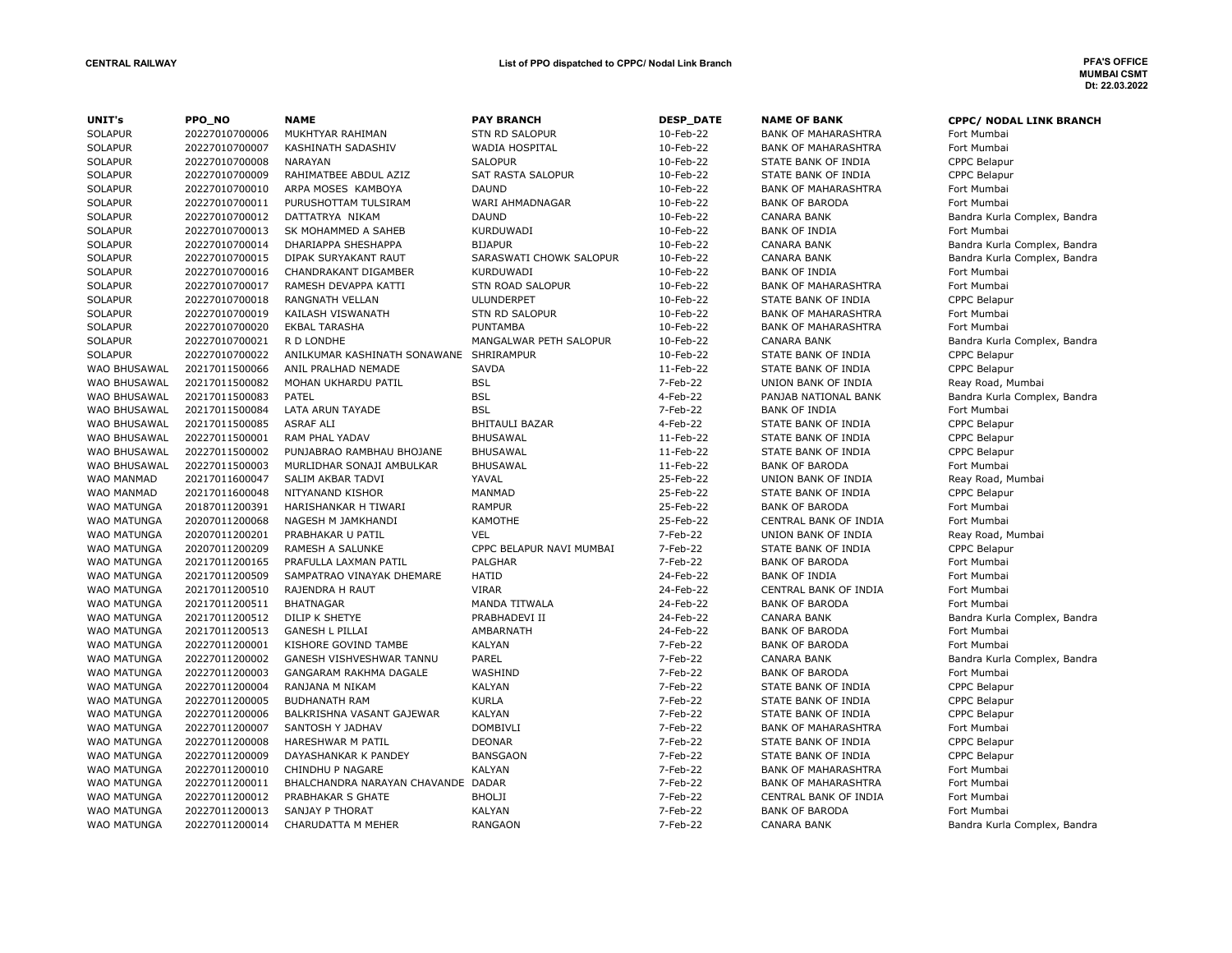| UNIT's              | PPO NO         | <b>NAME</b>                        | <b>PAY BRANCH</b>        | <b>DESP DATE</b> | <b>NAME OF BANK</b>        | <b>CPPC/ NODAL LINK BRANCH</b> |
|---------------------|----------------|------------------------------------|--------------------------|------------------|----------------------------|--------------------------------|
| <b>SOLAPUR</b>      | 20227010700006 | MUKHTYAR RAHIMAN                   | <b>STN RD SALOPUR</b>    | 10-Feb-22        | <b>BANK OF MAHARASHTRA</b> | Fort Mumbai                    |
| <b>SOLAPUR</b>      | 20227010700007 | <b>KASHINATH SADASHIV</b>          | <b>WADIA HOSPITAL</b>    | 10-Feb-22        | <b>BANK OF MAHARASHTRA</b> | Fort Mumbai                    |
| <b>SOLAPUR</b>      | 20227010700008 | <b>NARAYAN</b>                     | <b>SALOPUR</b>           | 10-Feb-22        | STATE BANK OF INDIA        | CPPC Belapur                   |
| <b>SOLAPUR</b>      | 20227010700009 | RAHIMATBEE ABDUL AZIZ              | SAT RASTA SALOPUR        | 10-Feb-22        | STATE BANK OF INDIA        | CPPC Belapur                   |
| <b>SOLAPUR</b>      | 20227010700010 | ARPA MOSES KAMBOYA                 | <b>DAUND</b>             | 10-Feb-22        | <b>BANK OF MAHARASHTRA</b> | Fort Mumbai                    |
| <b>SOLAPUR</b>      | 20227010700011 | PURUSHOTTAM TULSIRAM               | WARI AHMADNAGAR          | 10-Feb-22        | <b>BANK OF BARODA</b>      | Fort Mumbai                    |
| <b>SOLAPUR</b>      | 20227010700012 | DATTATRYA NIKAM                    | <b>DAUND</b>             | 10-Feb-22        | <b>CANARA BANK</b>         | Bandra Kurla Complex, Bandra   |
| <b>SOLAPUR</b>      | 20227010700013 | SK MOHAMMED A SAHEB                | <b>KURDUWADI</b>         | 10-Feb-22        | <b>BANK OF INDIA</b>       | Fort Mumbai                    |
| <b>SOLAPUR</b>      | 20227010700014 | DHARIAPPA SHESHAPPA                | <b>BIJAPUR</b>           | 10-Feb-22        | <b>CANARA BANK</b>         | Bandra Kurla Complex, Bandra   |
| <b>SOLAPUR</b>      | 20227010700015 | DIPAK SURYAKANT RAUT               | SARASWATI CHOWK SALOPUR  | 10-Feb-22        | <b>CANARA BANK</b>         | Bandra Kurla Complex, Bandra   |
| <b>SOLAPUR</b>      | 20227010700016 | CHANDRAKANT DIGAMBER               | <b>KURDUWADI</b>         | 10-Feb-22        | <b>BANK OF INDIA</b>       | Fort Mumbai                    |
| SOLAPUR             | 20227010700017 | RAMESH DEVAPPA KATTI               | <b>STN ROAD SALOPUR</b>  | 10-Feb-22        | <b>BANK OF MAHARASHTRA</b> | Fort Mumbai                    |
| <b>SOLAPUR</b>      | 20227010700018 | RANGNATH VELLAN                    | ULUNDERPET               | 10-Feb-22        | STATE BANK OF INDIA        | CPPC Belapur                   |
| <b>SOLAPUR</b>      | 20227010700019 | KAILASH VISWANATH                  | <b>STN RD SALOPUR</b>    | 10-Feb-22        | <b>BANK OF MAHARASHTRA</b> | Fort Mumbai                    |
| <b>SOLAPUR</b>      | 20227010700020 | <b>EKBAL TARASHA</b>               | <b>PUNTAMBA</b>          | 10-Feb-22        | <b>BANK OF MAHARASHTRA</b> | Fort Mumbai                    |
| <b>SOLAPUR</b>      | 20227010700021 | R D LONDHE                         | MANGALWAR PETH SALOPUR   | 10-Feb-22        | <b>CANARA BANK</b>         | Bandra Kurla Complex, Bandra   |
| <b>SOLAPUR</b>      | 20227010700022 | ANILKUMAR KASHINATH SONAWANE       | SHRIRAMPUR               | 10-Feb-22        | STATE BANK OF INDIA        | CPPC Belapur                   |
| WAO BHUSAWAL        | 20217011500066 | ANIL PRALHAD NEMADE                | <b>SAVDA</b>             | 11-Feb-22        | STATE BANK OF INDIA        | CPPC Belapur                   |
| WAO BHUSAWAL        | 20217011500082 | MOHAN UKHARDU PATIL                | <b>BSL</b>               | 7-Feb-22         | UNION BANK OF INDIA        | Reay Road, Mumbai              |
| WAO BHUSAWAL        | 20217011500083 | <b>PATEL</b>                       | <b>BSL</b>               | 4-Feb-22         | PANJAB NATIONAL BANK       | Bandra Kurla Complex, Bandra   |
| WAO BHUSAWAL        | 20217011500084 | LATA ARUN TAYADE                   | <b>BSL</b>               | 7-Feb-22         | <b>BANK OF INDIA</b>       | Fort Mumbai                    |
| WAO BHUSAWAL        | 20217011500085 | <b>ASRAF ALI</b>                   | BHITAULI BAZAR           | 4-Feb-22         | STATE BANK OF INDIA        | CPPC Belapur                   |
| <b>WAO BHUSAWAL</b> | 20227011500001 | <b>RAM PHAL YADAV</b>              | <b>BHUSAWAL</b>          | 11-Feb-22        | STATE BANK OF INDIA        | CPPC Belapur                   |
| WAO BHUSAWAL        | 20227011500002 | PUNJABRAO RAMBHAU BHOJANE          | <b>BHUSAWAL</b>          | 11-Feb-22        | STATE BANK OF INDIA        | CPPC Belapur                   |
| WAO BHUSAWAL        | 20227011500003 | MURLIDHAR SONAJI AMBULKAR          | <b>BHUSAWAL</b>          | 11-Feb-22        | <b>BANK OF BARODA</b>      | Fort Mumbai                    |
| WAO MANMAD          | 20217011600047 | SALIM AKBAR TADVI                  | YAVAL                    | 25-Feb-22        | UNION BANK OF INDIA        | Reay Road, Mumbai              |
| WAO MANMAD          | 20217011600048 | NITYANAND KISHOR                   | MANMAD                   | 25-Feb-22        | STATE BANK OF INDIA        | CPPC Belapur                   |
| WAO MATUNGA         | 20187011200391 | HARISHANKAR H TIWARI               | <b>RAMPUR</b>            | 25-Feb-22        | <b>BANK OF BARODA</b>      | Fort Mumbai                    |
| WAO MATUNGA         | 20207011200068 | NAGESH M JAMKHANDI                 | <b>KAMOTHE</b>           | 25-Feb-22        | CENTRAL BANK OF INDIA      | Fort Mumbai                    |
| <b>WAO MATUNGA</b>  | 20207011200201 | PRABHAKAR U PATIL                  | <b>VEL</b>               | 7-Feb-22         | UNION BANK OF INDIA        | Reay Road, Mumbai              |
| WAO MATUNGA         | 20207011200209 | RAMESH A SALUNKE                   | CPPC BELAPUR NAVI MUMBAI | 7-Feb-22         | STATE BANK OF INDIA        | CPPC Belapur                   |
| WAO MATUNGA         | 20217011200165 | PRAFULLA LAXMAN PATIL              | <b>PALGHAR</b>           | 7-Feb-22         | <b>BANK OF BARODA</b>      | Fort Mumbai                    |
| <b>WAO MATUNGA</b>  | 20217011200509 | SAMPATRAO VINAYAK DHEMARE          | <b>HATID</b>             | 24-Feb-22        | <b>BANK OF INDIA</b>       | Fort Mumbai                    |
| WAO MATUNGA         | 20217011200510 | RAJENDRA H RAUT                    | <b>VIRAR</b>             | 24-Feb-22        | CENTRAL BANK OF INDIA      | Fort Mumbai                    |
| WAO MATUNGA         | 20217011200511 | <b>BHATNAGAR</b>                   | MANDA TITWALA            | 24-Feb-22        | <b>BANK OF BARODA</b>      | Fort Mumbai                    |
| WAO MATUNGA         | 20217011200512 | DILIP K SHETYE                     | PRABHADEVI II            | 24-Feb-22        | <b>CANARA BANK</b>         | Bandra Kurla Complex, Bandra   |
| WAO MATUNGA         | 20217011200513 | <b>GANESH L PILLAI</b>             | AMBARNATH                | 24-Feb-22        | <b>BANK OF BARODA</b>      | Fort Mumbai                    |
| WAO MATUNGA         | 20227011200001 | KISHORE GOVIND TAMBE               | <b>KALYAN</b>            | 7-Feb-22         | <b>BANK OF BARODA</b>      | Fort Mumbai                    |
| WAO MATUNGA         | 20227011200002 | GANESH VISHVESHWAR TANNU           | PAREL                    | 7-Feb-22         | <b>CANARA BANK</b>         | Bandra Kurla Complex, Bandra   |
| WAO MATUNGA         | 20227011200003 | GANGARAM RAKHMA DAGALE             | WASHIND                  | 7-Feb-22         | <b>BANK OF BARODA</b>      | Fort Mumbai                    |
| WAO MATUNGA         | 20227011200004 | RANJANA M NIKAM                    | <b>KALYAN</b>            | 7-Feb-22         | STATE BANK OF INDIA        | CPPC Belapur                   |
| WAO MATUNGA         | 20227011200005 | <b>BUDHANATH RAM</b>               | <b>KURLA</b>             | 7-Feb-22         | STATE BANK OF INDIA        | <b>CPPC Belapur</b>            |
| WAO MATUNGA         | 20227011200006 | BALKRISHNA VASANT GAJEWAR          | <b>KALYAN</b>            | 7-Feb-22         | STATE BANK OF INDIA        | CPPC Belapur                   |
| WAO MATUNGA         | 20227011200007 | SANTOSH Y JADHAV                   | <b>DOMBIVLI</b>          | 7-Feb-22         | <b>BANK OF MAHARASHTRA</b> | Fort Mumbai                    |
| WAO MATUNGA         | 20227011200008 | HARESHWAR M PATIL                  | <b>DEONAR</b>            | 7-Feb-22         | STATE BANK OF INDIA        | CPPC Belapur                   |
| WAO MATUNGA         | 20227011200009 | DAYASHANKAR K PANDEY               | <b>BANSGAON</b>          | 7-Feb-22         | STATE BANK OF INDIA        | CPPC Belapur                   |
| WAO MATUNGA         | 20227011200010 | CHINDHU P NAGARE                   | <b>KALYAN</b>            | 7-Feb-22         | <b>BANK OF MAHARASHTRA</b> | Fort Mumbai                    |
| WAO MATUNGA         | 20227011200011 | BHALCHANDRA NARAYAN CHAVANDE DADAR |                          | 7-Feb-22         | BANK OF MAHARASHTRA        | Fort Mumbai                    |
| WAO MATUNGA         | 20227011200012 | PRABHAKAR S GHATE                  | <b>BHOLJI</b>            | 7-Feb-22         | CENTRAL BANK OF INDIA      | Fort Mumbai                    |
| <b>WAO MATUNGA</b>  | 20227011200013 | SANJAY P THORAT                    | <b>KALYAN</b>            | 7-Feb-22         | <b>BANK OF BARODA</b>      | Fort Mumbai                    |
| WAO MATUNGA         | 20227011200014 | CHARUDATTA M MEHER                 | <b>RANGAON</b>           | 7-Feb-22         | <b>CANARA BANK</b>         | Bandra Kurla Complex, Bandra   |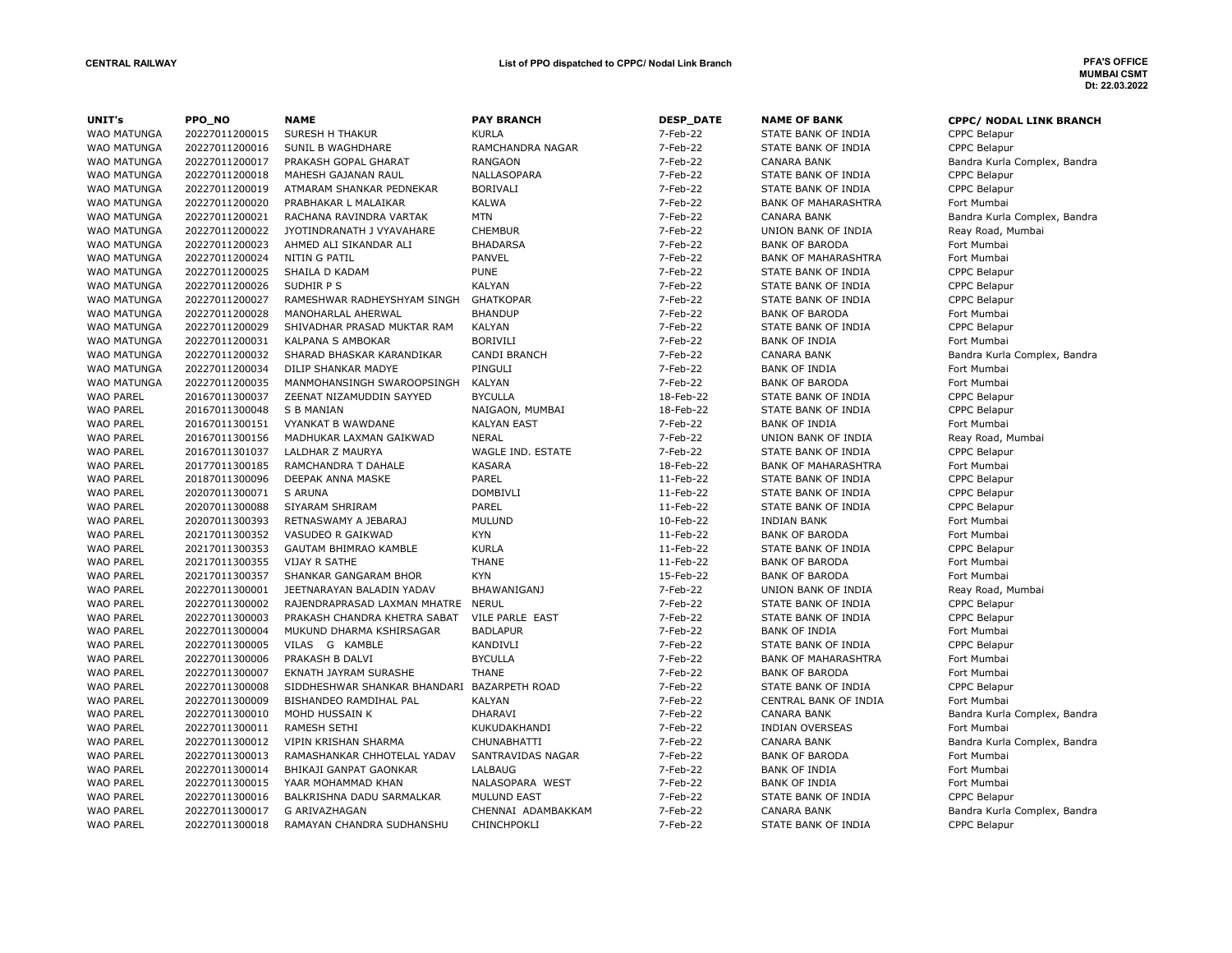| UNIT's             | PPO_NO         | <b>NAME</b>                  | <b>PAY BRANCH</b>     | <b>DESP_DATE</b> | <b>NAME OF BANK</b>        | <b>CPPC/ NODAL LINK BRANCH</b> |
|--------------------|----------------|------------------------------|-----------------------|------------------|----------------------------|--------------------------------|
| <b>WAO MATUNGA</b> | 20227011200015 | SURESH H THAKUR              | <b>KURLA</b>          | 7-Feb-22         | STATE BANK OF INDIA        | CPPC Belapur                   |
| <b>WAO MATUNGA</b> | 20227011200016 | SUNIL B WAGHDHARE            | RAMCHANDRA NAGAR      | 7-Feb-22         | STATE BANK OF INDIA        | <b>CPPC Belapur</b>            |
| <b>WAO MATUNGA</b> | 20227011200017 | PRAKASH GOPAL GHARAT         | <b>RANGAON</b>        | 7-Feb-22         | <b>CANARA BANK</b>         | Bandra Kurla Complex, Bandra   |
| <b>WAO MATUNGA</b> | 20227011200018 | MAHESH GAJANAN RAUL          | NALLASOPARA           | 7-Feb-22         | STATE BANK OF INDIA        | <b>CPPC Belapur</b>            |
| WAO MATUNGA        | 20227011200019 | ATMARAM SHANKAR PEDNEKAR     | <b>BORIVALI</b>       | 7-Feb-22         | STATE BANK OF INDIA        | CPPC Belapur                   |
| <b>WAO MATUNGA</b> | 20227011200020 | PRABHAKAR L MALAIKAR         | <b>KALWA</b>          | 7-Feb-22         | <b>BANK OF MAHARASHTRA</b> | Fort Mumbai                    |
| <b>WAO MATUNGA</b> | 20227011200021 | RACHANA RAVINDRA VARTAK      | <b>MTN</b>            | 7-Feb-22         | <b>CANARA BANK</b>         | Bandra Kurla Complex, Bandra   |
| WAO MATUNGA        | 20227011200022 | JYOTINDRANATH J VYAVAHARE    | <b>CHEMBUR</b>        | 7-Feb-22         | UNION BANK OF INDIA        | Reay Road, Mumbai              |
| <b>WAO MATUNGA</b> | 20227011200023 | AHMED ALI SIKANDAR ALI       | <b>BHADARSA</b>       | 7-Feb-22         | <b>BANK OF BARODA</b>      | Fort Mumbai                    |
| WAO MATUNGA        | 20227011200024 | NITIN G PATIL                | PANVEL                | 7-Feb-22         | <b>BANK OF MAHARASHTRA</b> | Fort Mumbai                    |
| WAO MATUNGA        | 20227011200025 | SHAILA D KADAM               | <b>PUNE</b>           | 7-Feb-22         | STATE BANK OF INDIA        | CPPC Belapur                   |
| WAO MATUNGA        | 20227011200026 | SUDHIR P S                   | <b>KALYAN</b>         | 7-Feb-22         | STATE BANK OF INDIA        | <b>CPPC Belapur</b>            |
| WAO MATUNGA        | 20227011200027 | RAMESHWAR RADHEYSHYAM SINGH  | <b>GHATKOPAR</b>      | 7-Feb-22         | STATE BANK OF INDIA        | <b>CPPC Belapur</b>            |
| WAO MATUNGA        | 20227011200028 | MANOHARLAL AHERWAL           | <b>BHANDUP</b>        | 7-Feb-22         | <b>BANK OF BARODA</b>      | Fort Mumbai                    |
| <b>WAO MATUNGA</b> | 20227011200029 | SHIVADHAR PRASAD MUKTAR RAM  | <b>KALYAN</b>         | 7-Feb-22         | STATE BANK OF INDIA        | <b>CPPC Belapur</b>            |
| WAO MATUNGA        | 20227011200031 | <b>KALPANA S AMBOKAR</b>     | <b>BORIVILI</b>       | 7-Feb-22         | <b>BANK OF INDIA</b>       | Fort Mumbai                    |
| WAO MATUNGA        | 20227011200032 | SHARAD BHASKAR KARANDIKAR    | <b>CANDI BRANCH</b>   | 7-Feb-22         | <b>CANARA BANK</b>         | Bandra Kurla Complex, Bandra   |
| <b>WAO MATUNGA</b> | 20227011200034 | DILIP SHANKAR MADYE          | PINGULI               | 7-Feb-22         | <b>BANK OF INDIA</b>       | Fort Mumbai                    |
| <b>WAO MATUNGA</b> | 20227011200035 | MANMOHANSINGH SWAROOPSINGH   | KALYAN                | 7-Feb-22         | <b>BANK OF BARODA</b>      | Fort Mumbai                    |
| <b>WAO PAREL</b>   | 20167011300037 | ZEENAT NIZAMUDDIN SAYYED     | <b>BYCULLA</b>        | 18-Feb-22        | STATE BANK OF INDIA        | CPPC Belapur                   |
| <b>WAO PAREL</b>   | 20167011300048 | S B MANIAN                   | NAIGAON, MUMBAI       | 18-Feb-22        | STATE BANK OF INDIA        | <b>CPPC Belapur</b>            |
| <b>WAO PAREL</b>   | 20167011300151 | <b>VYANKAT B WAWDANE</b>     | <b>KALYAN EAST</b>    | 7-Feb-22         | <b>BANK OF INDIA</b>       | Fort Mumbai                    |
| <b>WAO PAREL</b>   | 20167011300156 | MADHUKAR LAXMAN GAIKWAD      | <b>NERAL</b>          | 7-Feb-22         | UNION BANK OF INDIA        | Reay Road, Mumbai              |
| <b>WAO PAREL</b>   | 20167011301037 | LALDHAR Z MAURYA             | WAGLE IND. ESTATE     | 7-Feb-22         | STATE BANK OF INDIA        | <b>CPPC Belapur</b>            |
| <b>WAO PAREL</b>   | 20177011300185 | RAMCHANDRA T DAHALE          | <b>KASARA</b>         | 18-Feb-22        | <b>BANK OF MAHARASHTRA</b> | Fort Mumbai                    |
| <b>WAO PAREL</b>   | 20187011300096 | DEEPAK ANNA MASKE            | PAREL                 | 11-Feb-22        | STATE BANK OF INDIA        | <b>CPPC Belapur</b>            |
| <b>WAO PAREL</b>   | 20207011300071 | S ARUNA                      | <b>DOMBIVLI</b>       | 11-Feb-22        | STATE BANK OF INDIA        | <b>CPPC Belapur</b>            |
| <b>WAO PAREL</b>   | 20207011300088 | SIYARAM SHRIRAM              | PAREL                 | 11-Feb-22        | STATE BANK OF INDIA        | <b>CPPC Belapur</b>            |
| <b>WAO PAREL</b>   | 20207011300393 | RETNASWAMY A JEBARAJ         | <b>MULUND</b>         | 10-Feb-22        | <b>INDIAN BANK</b>         | Fort Mumbai                    |
| <b>WAO PAREL</b>   | 20217011300352 | VASUDEO R GAIKWAD            | <b>KYN</b>            | 11-Feb-22        | <b>BANK OF BARODA</b>      | Fort Mumbai                    |
| <b>WAO PAREL</b>   | 20217011300353 | GAUTAM BHIMRAO KAMBLE        | <b>KURLA</b>          | 11-Feb-22        | STATE BANK OF INDIA        | <b>CPPC Belapur</b>            |
| <b>WAO PAREL</b>   | 20217011300355 | <b>VIJAY R SATHE</b>         | <b>THANE</b>          | 11-Feb-22        | <b>BANK OF BARODA</b>      | Fort Mumbai                    |
| <b>WAO PAREL</b>   | 20217011300357 | SHANKAR GANGARAM BHOR        | <b>KYN</b>            | 15-Feb-22        | <b>BANK OF BARODA</b>      | Fort Mumbai                    |
| <b>WAO PAREL</b>   | 20227011300001 | JEETNARAYAN BALADIN YADAV    | <b>BHAWANIGANJ</b>    | 7-Feb-22         | UNION BANK OF INDIA        | Reay Road, Mumbai              |
| <b>WAO PAREL</b>   | 20227011300002 | RAJENDRAPRASAD LAXMAN MHATRE | <b>NERUL</b>          | 7-Feb-22         | STATE BANK OF INDIA        | CPPC Belapur                   |
| <b>WAO PAREL</b>   | 20227011300003 | PRAKASH CHANDRA KHETRA SABAT | VILE PARLE EAST       | 7-Feb-22         | STATE BANK OF INDIA        | <b>CPPC Belapur</b>            |
| <b>WAO PAREL</b>   | 20227011300004 | MUKUND DHARMA KSHIRSAGAR     | <b>BADLAPUR</b>       | 7-Feb-22         | <b>BANK OF INDIA</b>       | Fort Mumbai                    |
| <b>WAO PAREL</b>   | 20227011300005 | VILAS G KAMBLE               | KANDIVLI              | 7-Feb-22         | STATE BANK OF INDIA        | CPPC Belapur                   |
| <b>WAO PAREL</b>   | 20227011300006 | PRAKASH B DALVI              | <b>BYCULLA</b>        | 7-Feb-22         | <b>BANK OF MAHARASHTRA</b> | Fort Mumbai                    |
| <b>WAO PAREL</b>   | 20227011300007 | EKNATH JAYRAM SURASHE        | <b>THANE</b>          | 7-Feb-22         | <b>BANK OF BARODA</b>      | Fort Mumbai                    |
| <b>WAO PAREL</b>   | 20227011300008 | SIDDHESHWAR SHANKAR BHANDARI | <b>BAZARPETH ROAD</b> | 7-Feb-22         | STATE BANK OF INDIA        | <b>CPPC Belapur</b>            |
| <b>WAO PAREL</b>   | 20227011300009 | BISHANDEO RAMDIHAL PAL       | <b>KALYAN</b>         | 7-Feb-22         | CENTRAL BANK OF INDIA      | Fort Mumbai                    |
| <b>WAO PAREL</b>   | 20227011300010 | MOHD HUSSAIN K               | DHARAVI               | 7-Feb-22         | <b>CANARA BANK</b>         | Bandra Kurla Complex, Bandra   |
| <b>WAO PAREL</b>   | 20227011300011 | <b>RAMESH SETHI</b>          | KUKUDAKHANDI          | 7-Feb-22         | <b>INDIAN OVERSEAS</b>     | Fort Mumbai                    |
| <b>WAO PAREL</b>   | 20227011300012 | VIPIN KRISHAN SHARMA         | <b>CHUNABHATTI</b>    | 7-Feb-22         | <b>CANARA BANK</b>         | Bandra Kurla Complex, Bandra   |
| <b>WAO PAREL</b>   | 20227011300013 | RAMASHANKAR CHHOTELAL YADAV  | SANTRAVIDAS NAGAR     | 7-Feb-22         | <b>BANK OF BARODA</b>      | Fort Mumbai                    |
| <b>WAO PAREL</b>   | 20227011300014 | BHIKAJI GANPAT GAONKAR       | LALBAUG               | 7-Feb-22         | <b>BANK OF INDIA</b>       | Fort Mumbai                    |
| <b>WAO PAREL</b>   | 20227011300015 | YAAR MOHAMMAD KHAN           | NALASOPARA WEST       | 7-Feb-22         | <b>BANK OF INDIA</b>       | Fort Mumbai                    |
| <b>WAO PAREL</b>   | 20227011300016 | BALKRISHNA DADU SARMALKAR    | <b>MULUND EAST</b>    | 7-Feb-22         | STATE BANK OF INDIA        | <b>CPPC Belapur</b>            |
| <b>WAO PAREL</b>   | 20227011300017 | <b>G ARIVAZHAGAN</b>         | CHENNAI ADAMBAKKAM    | 7-Feb-22         | <b>CANARA BANK</b>         | Bandra Kurla Complex, Bandra   |
| <b>WAO PAREL</b>   | 20227011300018 | RAMAYAN CHANDRA SUDHANSHU    | CHINCHPOKLI           | 7-Feb-22         | STATE BANK OF INDIA        | <b>CPPC Belapur</b>            |